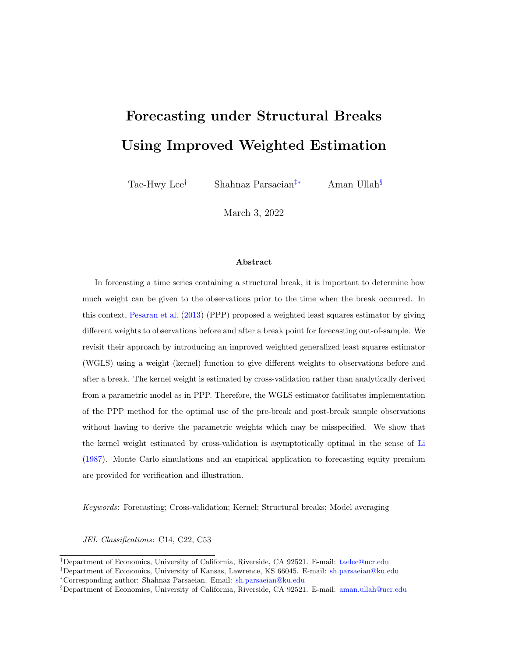# Forecasting under Structural Breaks Using Improved Weighted Estimation

Tae-Hwy Lee† Shahnaz Parsaeian‡∗ Aman Ullah§

March 3, 2022

#### Abstract

In forecasting a time series containing a structural break, it is important to determine how much weight can be given to the observations prior to the time when the break occurred. In this context, [Pesaran et al.](#page-16-0) [\(2013\)](#page-16-0) (PPP) proposed a weighted least squares estimator by giving different weights to observations before and after a break point for forecasting out-of-sample. We revisit their approach by introducing an improved weighted generalized least squares estimator (WGLS) using a weight (kernel) function to give different weights to observations before and after a break. The kernel weight is estimated by cross-validation rather than analytically derived from a parametric model as in PPP. Therefore, the WGLS estimator facilitates implementation of the PPP method for the optimal use of the pre-break and post-break sample observations without having to derive the parametric weights which may be misspecified. We show that the kernel weight estimated by cross-validation is asymptotically optimal in the sense of [Li](#page-16-1) [\(1987\)](#page-16-1). Monte Carlo simulations and an empirical application to forecasting equity premium are provided for verification and illustration.

Keywords: Forecasting; Cross-validation; Kernel; Structural breaks; Model averaging

JEL Classifications: C14, C22, C53

<sup>†</sup>Department of Economics, University of California, Riverside, CA 92521. E-mail: taelee@ucr.edu

<sup>‡</sup>Department of Economics, University of Kansas, Lawrence, KS 66045. E-mail: sh.parsaeian@ku.edu <sup>∗</sup>Corresponding author: Shahnaz Parsaeian. Email: sh.parsaeian@ku.edu

<sup>§</sup>Department of Economics, University of California, Riverside, CA 92521. E-mail: aman.ullah@ucr.edu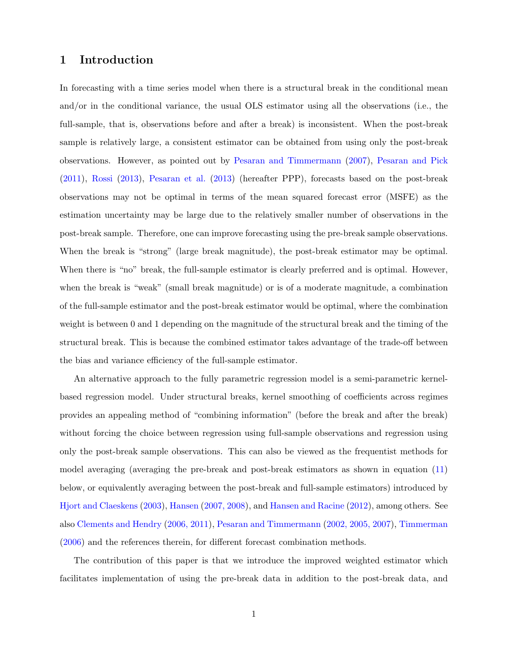## 1 Introduction

In forecasting with a time series model when there is a structural break in the conditional mean and/or in the conditional variance, the usual OLS estimator using all the observations (i.e., the full-sample, that is, observations before and after a break) is inconsistent. When the post-break sample is relatively large, a consistent estimator can be obtained from using only the post-break observations. However, as pointed out by [Pesaran and Timmermann](#page-16-2) [\(2007\)](#page-16-2), [Pesaran and Pick](#page-16-3) [\(2011\)](#page-16-3), [Rossi](#page-16-4) [\(2013\)](#page-16-4), [Pesaran et al.](#page-16-0) [\(2013\)](#page-16-0) (hereafter PPP), forecasts based on the post-break observations may not be optimal in terms of the mean squared forecast error (MSFE) as the estimation uncertainty may be large due to the relatively smaller number of observations in the post-break sample. Therefore, one can improve forecasting using the pre-break sample observations. When the break is "strong" (large break magnitude), the post-break estimator may be optimal. When there is "no" break, the full-sample estimator is clearly preferred and is optimal. However, when the break is "weak" (small break magnitude) or is of a moderate magnitude, a combination of the full-sample estimator and the post-break estimator would be optimal, where the combination weight is between 0 and 1 depending on the magnitude of the structural break and the timing of the structural break. This is because the combined estimator takes advantage of the trade-off between the bias and variance efficiency of the full-sample estimator.

An alternative approach to the fully parametric regression model is a semi-parametric kernelbased regression model. Under structural breaks, kernel smoothing of coefficients across regimes provides an appealing method of "combining information" (before the break and after the break) without forcing the choice between regression using full-sample observations and regression using only the post-break sample observations. This can also be viewed as the frequentist methods for model averaging (averaging the pre-break and post-break estimators as shown in equation [\(11\)](#page-6-0) below, or equivalently averaging between the post-break and full-sample estimators) introduced by [Hjort and Claeskens](#page-15-0) [\(2003\)](#page-15-0), [Hansen](#page-15-1) [\(2007, 2008\)](#page-15-1), and [Hansen and Racine](#page-15-2) [\(2012\)](#page-15-2), among others. See also [Clements and Hendry](#page-15-3) [\(2006, 2011\)](#page-15-3), [Pesaran and Timmermann](#page-16-5) [\(2002, 2005, 2007\)](#page-16-5), [Timmerman](#page-16-6) [\(2006\)](#page-16-6) and the references therein, for different forecast combination methods.

The contribution of this paper is that we introduce the improved weighted estimator which facilitates implementation of using the pre-break data in addition to the post-break data, and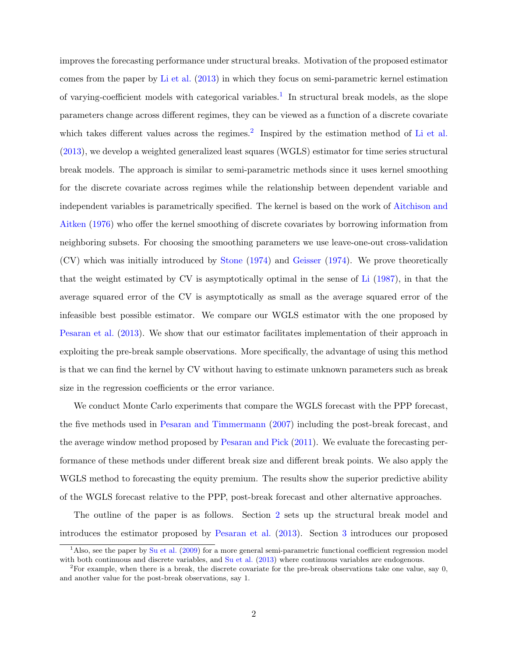improves the forecasting performance under structural breaks. Motivation of the proposed estimator comes from the paper by [Li et al.](#page-16-7) [\(2013\)](#page-16-7) in which they focus on semi-parametric kernel estimation of varying-coefficient models with categorical variables.<sup>[1](#page-2-0)</sup> In structural break models, as the slope parameters change across different regimes, they can be viewed as a function of a discrete covariate which takes different values across the regimes.<sup>[2](#page-2-1)</sup> Inspired by the estimation method of [Li et al.](#page-16-7) [\(2013\)](#page-16-7), we develop a weighted generalized least squares (WGLS) estimator for time series structural break models. The approach is similar to semi-parametric methods since it uses kernel smoothing for the discrete covariate across regimes while the relationship between dependent variable and independent variables is parametrically specified. The kernel is based on the work of [Aitchison and](#page-15-4) [Aitken](#page-15-4) [\(1976\)](#page-15-4) who offer the kernel smoothing of discrete covariates by borrowing information from neighboring subsets. For choosing the smoothing parameters we use leave-one-out cross-validation (CV) which was initially introduced by [Stone](#page-16-8) [\(1974\)](#page-16-8) and [Geisser](#page-15-5) [\(1974\)](#page-15-5). We prove theoretically that the weight estimated by CV is asymptotically optimal in the sense of [Li](#page-16-1) [\(1987\)](#page-16-1), in that the average squared error of the CV is asymptotically as small as the average squared error of the infeasible best possible estimator. We compare our WGLS estimator with the one proposed by [Pesaran et al.](#page-16-0) [\(2013\)](#page-16-0). We show that our estimator facilitates implementation of their approach in exploiting the pre-break sample observations. More specifically, the advantage of using this method is that we can find the kernel by CV without having to estimate unknown parameters such as break size in the regression coefficients or the error variance.

We conduct Monte Carlo experiments that compare the WGLS forecast with the PPP forecast, the five methods used in [Pesaran and Timmermann](#page-16-2) [\(2007\)](#page-16-2) including the post-break forecast, and the average window method proposed by [Pesaran and Pick](#page-16-3) [\(2011\)](#page-16-3). We evaluate the forecasting performance of these methods under different break size and different break points. We also apply the WGLS method to forecasting the equity premium. The results show the superior predictive ability of the WGLS forecast relative to the PPP, post-break forecast and other alternative approaches.

The outline of the paper is as follows. Section [2](#page-3-0) sets up the structural break model and introduces the estimator proposed by [Pesaran et al.](#page-16-0) [\(2013\)](#page-16-0). Section [3](#page-5-0) introduces our proposed

<span id="page-2-0"></span> $1<sup>1</sup>$ Also, see the paper by [Su et al.](#page-16-9) [\(2009\)](#page-16-9) for a more general semi-parametric functional coefficient regression model with both continuous and discrete variables, and [Su et al.](#page-16-10) [\(2013\)](#page-16-10) where continuous variables are endogenous.

<span id="page-2-1"></span><sup>&</sup>lt;sup>2</sup>For example, when there is a break, the discrete covariate for the pre-break observations take one value, say  $0$ , and another value for the post-break observations, say 1.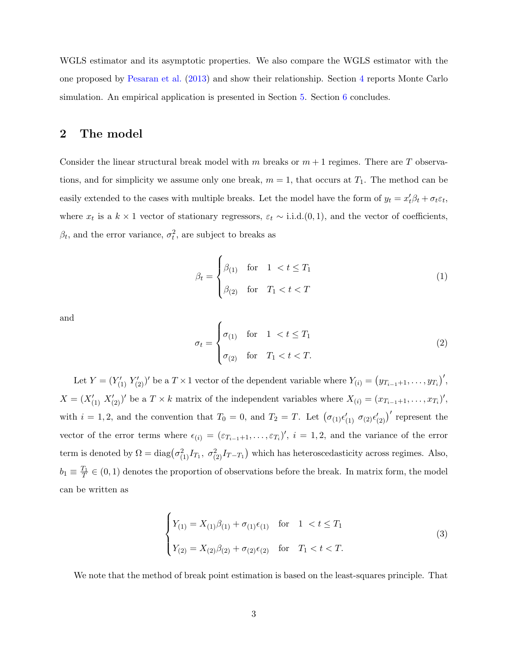WGLS estimator and its asymptotic properties. We also compare the WGLS estimator with the one proposed by [Pesaran et al.](#page-16-0) [\(2013\)](#page-16-0) and show their relationship. Section [4](#page-10-0) reports Monte Carlo simulation. An empirical application is presented in Section [5.](#page-13-0) Section [6](#page-14-0) concludes.

# <span id="page-3-0"></span>2 The model

Consider the linear structural break model with m breaks or  $m + 1$  regimes. There are T observations, and for simplicity we assume only one break,  $m = 1$ , that occurs at  $T_1$ . The method can be easily extended to the cases with multiple breaks. Let the model have the form of  $y_t = x_t' \beta_t + \sigma_t \varepsilon_t$ , where  $x_t$  is a  $k \times 1$  vector of stationary regressors,  $\varepsilon_t \sim$  i.i.d. $(0, 1)$ , and the vector of coefficients,  $\beta_t$ , and the error variance,  $\sigma_t^2$ , are subject to breaks as

$$
\beta_t = \begin{cases} \beta_{(1)} & \text{for} \quad 1 < t \le T_1 \\ \beta_{(2)} & \text{for} \quad T_1 < t < T \end{cases} \tag{1}
$$

and

$$
\sigma_t = \begin{cases}\n\sigma_{(1)} & \text{for} \quad 1 < t \le T_1 \\
\sigma_{(2)} & \text{for} \quad T_1 < t < T.\n\end{cases}\n\tag{2}
$$

Let  $Y = (Y'_{(1)} Y'_{(2)})'$  be a  $T \times 1$  vector of the dependent variable where  $Y_{(i)} = (y_{T_{i-1}+1}, \ldots, y_{T_i})'$ ,  $X = (X'_{(1)} | X'_{(2)})'$  be a  $T \times k$  matrix of the independent variables where  $X_{(i)} = (x_{T_{i-1}+1}, \ldots, x_{T_i})'$ , with  $i = 1, 2$ , and the convention that  $T_0 = 0$ , and  $T_2 = T$ . Let  $(\sigma_{(1)} \epsilon'_{(1)} \sigma_{(2)} \epsilon'_{(2)})'$  represent the vector of the error terms where  $\epsilon_{(i)} = (\epsilon_{T_{i-1}+1}, \ldots, \epsilon_{T_i})'$ ,  $i = 1, 2$ , and the variance of the error term is denoted by  $\Omega = \text{diag}(\sigma_{(1)}^2 I_{T_1}, \sigma_{(2)}^2 I_{T-T_1})$  which has heteroscedasticity across regimes. Also,  $b_1 \equiv \frac{T_1}{T} \in (0, 1)$  denotes the proportion of observations before the break. In matrix form, the model can be written as

<span id="page-3-1"></span>
$$
\begin{cases}\nY_{(1)} = X_{(1)}\beta_{(1)} + \sigma_{(1)}\epsilon_{(1)} & \text{for} \quad 1 < t \le T_1 \\
Y_{(2)} = X_{(2)}\beta_{(2)} + \sigma_{(2)}\epsilon_{(2)} & \text{for} \quad T_1 < t < T.\n\end{cases} \tag{3}
$$

We note that the method of break point estimation is based on the least-squares principle. That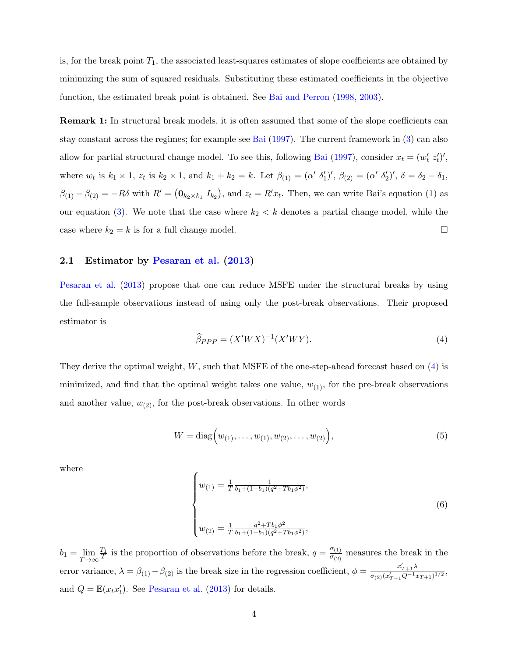is, for the break point  $T_1$ , the associated least-squares estimates of slope coefficients are obtained by minimizing the sum of squared residuals. Substituting these estimated coefficients in the objective function, the estimated break point is obtained. See [Bai and Perron](#page-15-6) [\(1998, 2003\)](#page-15-6).

Remark 1: In structural break models, it is often assumed that some of the slope coefficients can stay constant across the regimes; for example see [Bai](#page-15-7) [\(1997\)](#page-15-7). The current framework in [\(3\)](#page-3-1) can also allow for partial structural change model. To see this, following [Bai](#page-15-7) [\(1997\)](#page-15-7), consider  $x_t = (w'_t z'_t)'$ , where  $w_t$  is  $k_1 \times 1$ ,  $z_t$  is  $k_2 \times 1$ , and  $k_1 + k_2 = k$ . Let  $\beta_{(1)} = (\alpha' \delta'_1)'$ ,  $\beta_{(2)} = (\alpha' \delta'_2)'$ ,  $\delta = \delta_2 - \delta_1$ ,  $\beta_{(1)} - \beta_{(2)} = -R\delta$  with  $R' = (0_{k_2 \times k_1} I_{k_2})$ , and  $z_t = R'x_t$ . Then, we can write Bai's equation (1) as our equation [\(3\)](#page-3-1). We note that the case where  $k_2 < k$  denotes a partial change model, while the case where  $k_2 = k$  is for a full change model.

#### 2.1 Estimator by [Pesaran et al.](#page-16-0) [\(2013\)](#page-16-0)

[Pesaran et al.](#page-16-0) [\(2013\)](#page-16-0) propose that one can reduce MSFE under the structural breaks by using the full-sample observations instead of using only the post-break observations. Their proposed estimator is

<span id="page-4-0"></span>
$$
\widehat{\beta}_{PPP} = (X'WX)^{-1}(X'WY). \tag{4}
$$

They derive the optimal weight,  $W$ , such that MSFE of the one-step-ahead forecast based on  $(4)$  is minimized, and find that the optimal weight takes one value,  $w_{(1)}$ , for the pre-break observations and another value,  $w_{(2)}$ , for the post-break observations. In other words

$$
W = \text{diag}\Big(w_{(1)}, \dots, w_{(1)}, w_{(2)}, \dots, w_{(2)}\Big),\tag{5}
$$

where

$$
\begin{cases}\nw_{(1)} = \frac{1}{T} \frac{1}{b_1 + (1 - b_1)(q^2 + Tb_1\phi^2)},\\
w_{(2)} = \frac{1}{T} \frac{q^2 + Tb_1\phi^2}{b_1 + (1 - b_1)(q^2 + Tb_1\phi^2)},\n\end{cases} \tag{6}
$$

 $b_1 = \lim_{T \to \infty}$  $\frac{T_1}{T}$  is the proportion of observations before the break,  $q = \frac{\sigma_{(1)}}{\sigma_{(2)}}$  $\frac{\sigma_{(1)}}{\sigma_{(2)}}$  measures the break in the error variance,  $\lambda = \beta_{(1)} - \beta_{(2)}$  is the break size in the regression coefficient,  $\phi = \frac{x'_{T+1}\lambda}{\sigma_{(2)}(x'_{T+1} - \lambda^{-1})}$  $\frac{x_{T+1}^N}{\sigma_{(2)} (x'_{T+1} Q^{-1} x_{T+1})^{1/2}},$ and  $Q = \mathbb{E}(x_t x_t')$ . See [Pesaran et al.](#page-16-0) [\(2013\)](#page-16-0) for details.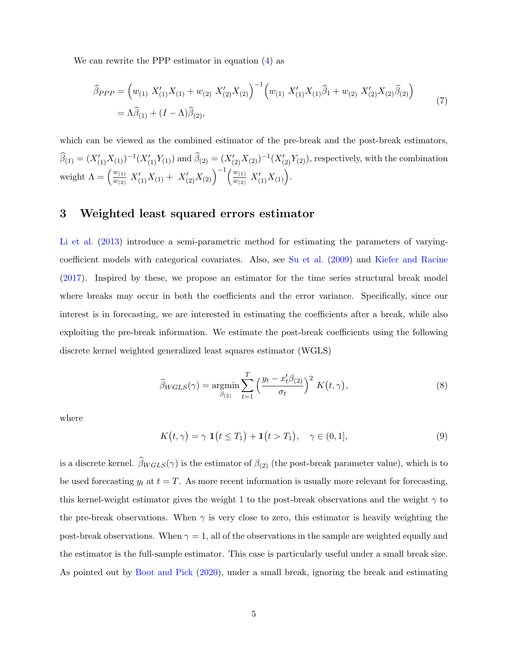We can rewrite the PPP estimator in equation [\(4\)](#page-4-0) as

<span id="page-5-2"></span>
$$
\widehat{\beta}_{PPP} = \left(w_{(1)} X'_{(1)} X_{(1)} + w_{(2)} X'_{(2)} X_{(2)}\right)^{-1} \left(w_{(1)} X'_{(1)} X_{(1)} \widehat{\beta}_1 + w_{(2)} X'_{(2)} X_{(2)} \widehat{\beta}_{(2)}\right)
$$
\n
$$
= \Lambda \widehat{\beta}_{(1)} + (I - \Lambda) \widehat{\beta}_{(2)},
$$
\n(7)

which can be viewed as the combined estimator of the pre-break and the post-break estimators,  $\widehat{\beta}_{(1)} = (X'_{(1)}X_{(1)})^{-1}(X'_{(1)}Y_{(1)})$  and  $\widehat{\beta}_{(2)} = (X'_{(2)}X_{(2)})^{-1}(X'_{(2)}Y_{(2)})$ , respectively, with the combination weight  $\Lambda = \left(\frac{w_{(1)}}{w_{(2)}}\right)$  $\frac{w_{(1)}}{w_{(2)}} X'_{(1)} X_{(1)} + X'_{(2)} X_{(2)} \Big)^{-1} \Big( \frac{w_{(1)}}{w_{(2)}}$  $\frac{w_{(1)}}{w_{(2)}} X'_{(1)} X_{(1)}$ .

## <span id="page-5-0"></span>3 Weighted least squared errors estimator

[Li et al.](#page-16-7) [\(2013\)](#page-16-7) introduce a semi-parametric method for estimating the parameters of varyingcoefficient models with categorical covariates. Also, see [Su et al.](#page-16-9) [\(2009\)](#page-16-9) and [Kiefer and Racine](#page-15-8) [\(2017\)](#page-15-8). Inspired by these, we propose an estimator for the time series structural break model where breaks may occur in both the coefficients and the error variance. Specifically, since our interest is in forecasting, we are interested in estimating the coefficients after a break, while also exploiting the pre-break information. We estimate the post-break coefficients using the following discrete kernel weighted generalized least squares estimator (WGLS)

<span id="page-5-1"></span>
$$
\widehat{\beta}_{WGLS}(\gamma) = \underset{\beta_{(2)}}{\operatorname{argmin}} \sum_{t=1}^{T} \left( \frac{y_t - x_t^{\prime} \beta_{(2)}}{\sigma_t} \right)^2 K(t, \gamma), \tag{8}
$$

where

$$
K(t,\gamma) = \gamma \mathbf{1}(t \le T_1) + \mathbf{1}(t > T_1), \quad \gamma \in (0,1], \tag{9}
$$

is a discrete kernel.  $\widehat{\beta}_{WGLS}(\gamma)$  is the estimator of  $\beta_{(2)}$  (the post-break parameter value), which is to be used forecasting  $y_t$  at  $t = T$ . As more recent information is usually more relevant for forecasting, this kernel-weight estimator gives the weight 1 to the post-break observations and the weight  $\gamma$  to the pre-break observations. When  $\gamma$  is very close to zero, this estimator is heavily weighting the post-break observations. When  $\gamma = 1$ , all of the observations in the sample are weighted equally and the estimator is the full-sample estimator. This case is particularly useful under a small break size. As pointed out by [Boot and Pick](#page-15-9) [\(2020\)](#page-15-9), under a small break, ignoring the break and estimating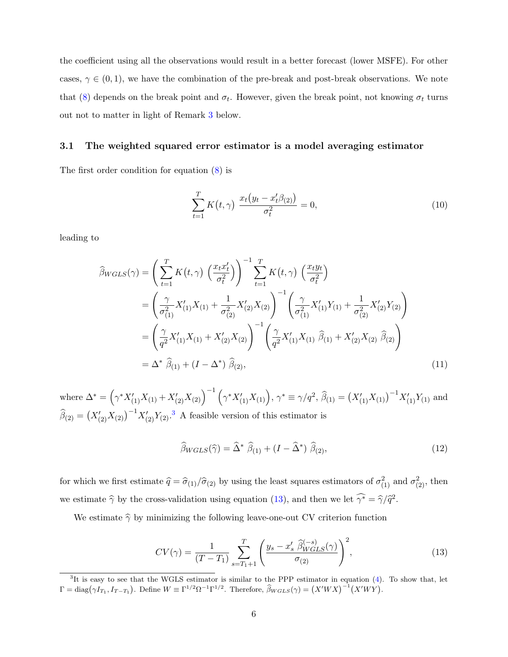the coefficient using all the observations would result in a better forecast (lower MSFE). For other cases,  $\gamma \in (0,1)$ , we have the combination of the pre-break and post-break observations. We note that [\(8\)](#page-5-1) depends on the break point and  $\sigma_t$ . However, given the break point, not knowing  $\sigma_t$  turns out not to matter in light of Remark [3](#page-7-0) below.

#### 3.1 The weighted squared error estimator is a model averaging estimator

The first order condition for equation [\(8\)](#page-5-1) is

$$
\sum_{t=1}^{T} K(t,\gamma) \frac{x_t(y_t - x_t'\beta_{(2)})}{\sigma_t^2} = 0,
$$
\n(10)

leading to

$$
\widehat{\beta}_{WGLS}(\gamma) = \left(\sum_{t=1}^{T} K(t, \gamma) \left(\frac{x_t x_t'}{\sigma_t^2}\right)\right)^{-1} \sum_{t=1}^{T} K(t, \gamma) \left(\frac{x_t y_t}{\sigma_t^2}\right)
$$
\n
$$
= \left(\frac{\gamma}{\sigma_{(1)}^2} X_{(1)}' X_{(1)} + \frac{1}{\sigma_{(2)}^2} X_{(2)}' X_{(2)}\right)^{-1} \left(\frac{\gamma}{\sigma_{(1)}^2} X_{(1)}' Y_{(1)} + \frac{1}{\sigma_{(2)}^2} X_{(2)}' Y_{(2)}\right)
$$
\n
$$
= \left(\frac{\gamma}{q^2} X_{(1)}' X_{(1)} + X_{(2)}' X_{(2)}\right)^{-1} \left(\frac{\gamma}{q^2} X_{(1)}' X_{(1)} \widehat{\beta}_{(1)} + X_{(2)}' X_{(2)} \widehat{\beta}_{(2)}\right)
$$
\n
$$
= \Delta^* \widehat{\beta}_{(1)} + (I - \Delta^*) \widehat{\beta}_{(2)}, \tag{11}
$$

where  $\Delta^* = (\gamma^* X'_{(1)} X_{(1)} + X'_{(2)} X_{(2)})^{-1} (\gamma^* X'_{(1)} X_{(1)}), \gamma^* \equiv \gamma / q^2, \hat{\beta}_{(1)} = (X'_{(1)} X_{(1)})^{-1} X'_{(1)} Y_{(1)}$  and  $\widehat{\beta}_{(2)} = (X'_{(2)}X_{(2)})^{-1}X'_{(2)}Y_{(2)}$ .<sup>[3](#page-6-1)</sup> A feasible version of this estimator is

<span id="page-6-3"></span><span id="page-6-0"></span>
$$
\widehat{\beta}_{WGLS}(\widehat{\gamma}) = \widehat{\Delta}^* \widehat{\beta}_{(1)} + (I - \widehat{\Delta}^*) \widehat{\beta}_{(2)},
$$
\n(12)

for which we first estimate  $\hat{q} = \hat{\sigma}_{(1)}/\hat{\sigma}_{(2)}$  by using the least squares estimators of  $\sigma_{(1)}^2$  and  $\sigma_{(2)}^2$ , then we estimate  $\hat{\gamma}$  by the cross-validation using equation [\(13\)](#page-6-2), and then we let  $\hat{\gamma^*} = \hat{\gamma}/\hat{q}^2$ .

We estimate  $\hat{\gamma}$  by minimizing the following leave-one-out CV criterion function

<span id="page-6-2"></span>
$$
CV(\gamma) = \frac{1}{(T - T_1)} \sum_{s = T_1 + 1}^{T} \left( \frac{y_s - x_s' \hat{\beta}_{WGLS}^{(-s)}(\gamma)}{\sigma_{(2)}} \right)^2,
$$
\n(13)

<span id="page-6-1"></span><sup>&</sup>lt;sup>3</sup>It is easy to see that the WGLS estimator is similar to the PPP estimator in equation [\(4\)](#page-4-0). To show that, let  $\Gamma = \text{diag}(\gamma I_{T_1}, I_{T-T_1})$ . Define  $W \equiv \Gamma^{1/2} \Omega^{-1} \Gamma^{1/2}$ . Therefore,  $\widehat{\beta}_{WGLS}(\gamma) = (X'WX)^{-1} (X'WY)$ .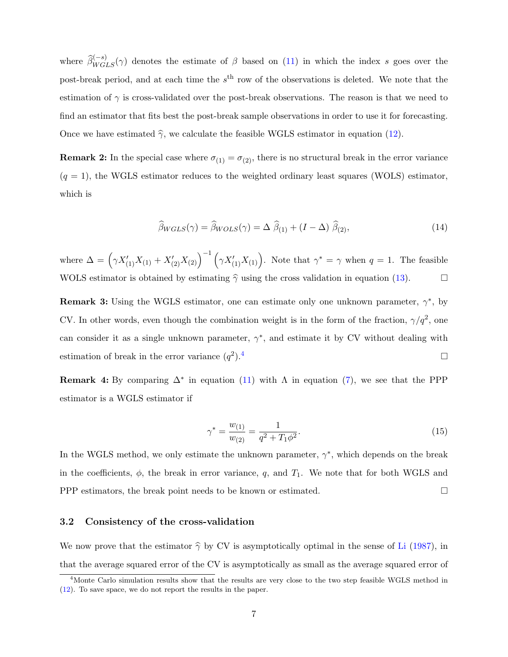where  $\widehat{\beta}_{WGLS}^{(-s)}(\gamma)$  denotes the estimate of  $\beta$  based on [\(11\)](#page-6-0) in which the index s goes over the post-break period, and at each time the  $s<sup>th</sup>$  row of the observations is deleted. We note that the estimation of  $\gamma$  is cross-validated over the post-break observations. The reason is that we need to find an estimator that fits best the post-break sample observations in order to use it for forecasting. Once we have estimated  $\hat{\gamma}$ , we calculate the feasible WGLS estimator in equation [\(12\)](#page-6-3).

**Remark 2:** In the special case where  $\sigma_{(1)} = \sigma_{(2)}$ , there is no structural break in the error variance  $(q = 1)$ , the WGLS estimator reduces to the weighted ordinary least squares (WOLS) estimator, which is

<span id="page-7-3"></span>
$$
\widehat{\beta}_{WGLS}(\gamma) = \widehat{\beta}_{WOLS}(\gamma) = \Delta \widehat{\beta}_{(1)} + (I - \Delta) \widehat{\beta}_{(2)},
$$
\n(14)

where  $\Delta = \left(\gamma X'_{(1)}X_{(1)} + X'_{(2)}X_{(2)}\right)^{-1} \left(\gamma X'_{(1)}X_{(1)}\right)$ . Note that  $\gamma^* = \gamma$  when  $q = 1$ . The feasible WOLS estimator is obtained by estimating  $\hat{\gamma}$  using the cross validation in equation [\(13\)](#page-6-2).

<span id="page-7-0"></span>**Remark 3:** Using the WGLS estimator, one can estimate only one unknown parameter,  $\gamma^*$ , by CV. In other words, even though the combination weight is in the form of the fraction,  $\gamma/q^2$ , one can consider it as a single unknown parameter,  $\gamma^*$ , and estimate it by CV without dealing with estimation of break in the error variance  $(q^2)$  $\Box$ ).  $^4$  $^4$ 

<span id="page-7-2"></span>**Remark 4:** By comparing  $\Delta^*$  in equation [\(11\)](#page-6-0) with  $\Lambda$  in equation [\(7\)](#page-5-2), we see that the PPP estimator is a WGLS estimator if

$$
\gamma^* = \frac{w_{(1)}}{w_{(2)}} = \frac{1}{q^2 + T_1 \phi^2}.\tag{15}
$$

In the WGLS method, we only estimate the unknown parameter,  $\gamma^*$ , which depends on the break in the coefficients,  $\phi$ , the break in error variance, q, and  $T_1$ . We note that for both WGLS and PPP estimators, the break point needs to be known or estimated.

#### 3.2 Consistency of the cross-validation

We now prove that the estimator  $\hat{\gamma}$  by CV is asymptotically optimal in the sense of [Li](#page-16-1) [\(1987\)](#page-16-1), in that the average squared error of the CV is asymptotically as small as the average squared error of

<span id="page-7-1"></span><sup>&</sup>lt;sup>4</sup>Monte Carlo simulation results show that the results are very close to the two step feasible WGLS method in [\(12\)](#page-6-3). To save space, we do not report the results in the paper.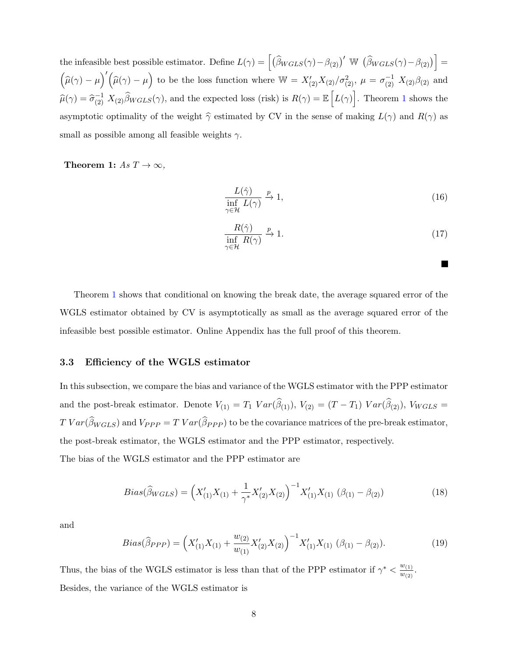the infeasible best possible estimator. Define  $L(\gamma) = \left[ \left( \widehat{\beta}_{WGLS}(\gamma) - \beta_{(2)} \right)' \mathbb{W} \left( \widehat{\beta}_{WGLS}(\gamma) - \beta_{(2)} \right) \right] =$  $(\widehat{\mu}(\gamma) - \mu)'(\widehat{\mu}(\gamma) - \mu)$  to be the loss function where  $W = X'_{(2)}X_{(2)}/\sigma_{(2)}^2$ ,  $\mu = \sigma_{(2)}^{-1} X_{(2)}\beta_{(2)}$  and  $\widehat{\mu}(\gamma) = \widehat{\sigma}_{(2)}^{-1} X_{(2)} \widehat{\beta}_{WGLS}(\gamma)$  $\widehat{\mu}(\gamma) = \widehat{\sigma}_{(2)}^{-1} X_{(2)} \widehat{\beta}_{WGLS}(\gamma)$  $\widehat{\mu}(\gamma) = \widehat{\sigma}_{(2)}^{-1} X_{(2)} \widehat{\beta}_{WGLS}(\gamma)$ , and the expected loss (risk) is  $R(\gamma) = \mathbb{E}\left[L(\gamma)\right]$ . Theorem 1 shows the asymptotic optimality of the weight  $\hat{\gamma}$  estimated by CV in the sense of making  $L(\gamma)$  and  $R(\gamma)$  as small as possible among all feasible weights  $\gamma$ .

<span id="page-8-0"></span>Theorem 1:  $As T \rightarrow \infty$ ,

$$
\frac{L(\hat{\gamma})}{\inf_{\gamma \in \mathcal{H}} L(\gamma)} \xrightarrow{p} 1,\tag{16}
$$

$$
\frac{R(\hat{\gamma})}{\inf_{\gamma \in \mathcal{H}} R(\gamma)} \xrightarrow{p} 1.
$$
 (17)

Theorem [1](#page-8-0) shows that conditional on knowing the break date, the average squared error of the WGLS estimator obtained by CV is asymptotically as small as the average squared error of the infeasible best possible estimator. Online Appendix has the full proof of this theorem.

## 3.3 Efficiency of the WGLS estimator

In this subsection, we compare the bias and variance of the WGLS estimator with the PPP estimator and the post-break estimator. Denote  $V_{(1)} = T_1 Var(\beta_{(1)})$ ,  $V_{(2)} = (T - T_1) Var(\beta_{(2)})$ ,  $V_{WGLS} =$  $T Var(\beta_{WGLS})$  and  $V_{PPP} = T Var(\beta_{PPP})$  to be the covariance matrices of the pre-break estimator, the post-break estimator, the WGLS estimator and the PPP estimator, respectively.

The bias of the WGLS estimator and the PPP estimator are

$$
Bias(\widehat{\beta}_{WGLS}) = \left(X'_{(1)}X_{(1)} + \frac{1}{\gamma^*}X'_{(2)}X_{(2)}\right)^{-1}X'_{(1)}X_{(1)}\ (\beta_{(1)} - \beta_{(2)})\tag{18}
$$

and

$$
Bias(\widehat{\beta}_{PPP}) = \left(X'_{(1)}X_{(1)} + \frac{w_{(2)}}{w_{(1)}}X'_{(2)}X_{(2)}\right)^{-1}X'_{(1)}X_{(1)}\ (\beta_{(1)} - \beta_{(2)}). \tag{19}
$$

Thus, the bias of the WGLS estimator is less than that of the PPP estimator if  $\gamma^* < \frac{w_{(1)}}{w_{(2)}}$  $\frac{w_{(1)}}{w_{(2)}}$ . Besides, the variance of the WGLS estimator is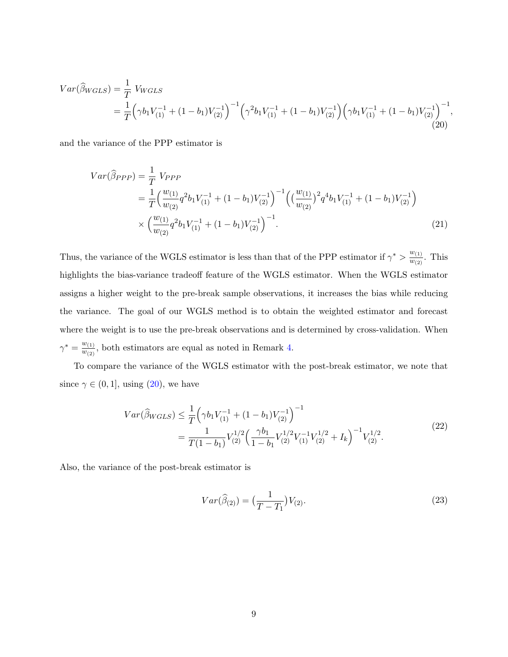<span id="page-9-0"></span>
$$
Var(\widehat{\beta}_{WGLS}) = \frac{1}{T} V_{WGLS}
$$
  
=  $\frac{1}{T} \left( \gamma b_1 V_{(1)}^{-1} + (1 - b_1) V_{(2)}^{-1} \right)^{-1} \left( \gamma^2 b_1 V_{(1)}^{-1} + (1 - b_1) V_{(2)}^{-1} \right) \left( \gamma b_1 V_{(1)}^{-1} + (1 - b_1) V_{(2)}^{-1} \right)^{-1},$   
(20)

and the variance of the PPP estimator is

$$
Var(\widehat{\beta}_{PPP}) = \frac{1}{T} V_{PPP}
$$
  
=  $\frac{1}{T} \Big( \frac{w_{(1)}}{w_{(2)}} q^2 b_1 V_{(1)}^{-1} + (1 - b_1) V_{(2)}^{-1} \Big)^{-1} \Big( \Big( \frac{w_{(1)}}{w_{(2)}} \Big)^2 q^4 b_1 V_{(1)}^{-1} + (1 - b_1) V_{(2)}^{-1} \Big)$   
 $\times \Big( \frac{w_{(1)}}{w_{(2)}} q^2 b_1 V_{(1)}^{-1} + (1 - b_1) V_{(2)}^{-1} \Big)^{-1}.$  (21)

Thus, the variance of the WGLS estimator is less than that of the PPP estimator if  $\gamma^* > \frac{w_{(1)}}{w_{(2)}}$  $\frac{w(1)}{w(2)}$ . This highlights the bias-variance tradeoff feature of the WGLS estimator. When the WGLS estimator assigns a higher weight to the pre-break sample observations, it increases the bias while reducing the variance. The goal of our WGLS method is to obtain the weighted estimator and forecast where the weight is to use the pre-break observations and is determined by cross-validation. When  $\gamma^* = \frac{w_{(1)}}{w_{(2)}}$  $\frac{w_{(1)}}{w_{(2)}}$ , both estimators are equal as noted in Remark [4.](#page-7-2)

To compare the variance of the WGLS estimator with the post-break estimator, we note that since  $\gamma \in (0, 1]$ , using  $(20)$ , we have

<span id="page-9-1"></span>
$$
Var(\widehat{\beta}_{WGLS}) \leq \frac{1}{T} \left( \gamma b_1 V_{(1)}^{-1} + (1 - b_1) V_{(2)}^{-1} \right)^{-1}
$$
  
= 
$$
\frac{1}{T(1 - b_1)} V_{(2)}^{1/2} \left( \frac{\gamma b_1}{1 - b_1} V_{(2)}^{1/2} V_{(1)}^{-1} V_{(2)}^{1/2} + I_k \right)^{-1} V_{(2)}^{1/2}.
$$
 (22)

Also, the variance of the post-break estimator is

<span id="page-9-2"></span>
$$
Var(\widehat{\beta}_{(2)}) = \left(\frac{1}{T - T_1}\right) V_{(2)}.
$$
\n(23)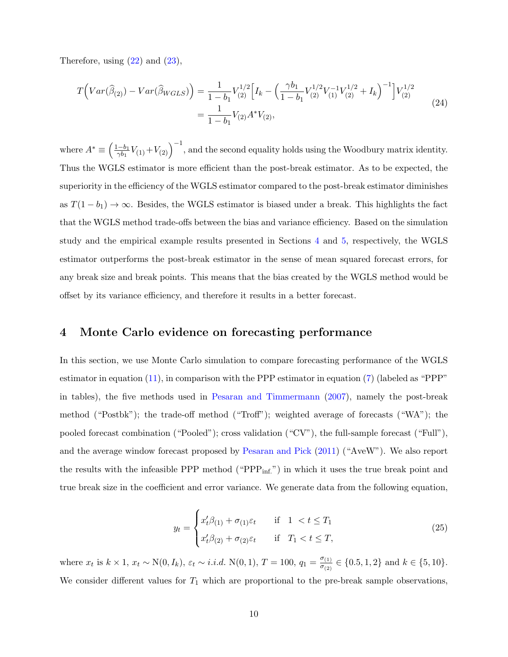Therefore, using  $(22)$  and  $(23)$ ,

<span id="page-10-1"></span>
$$
T\Big(Var(\widehat{\beta}_{(2)}) - Var(\widehat{\beta}_{WGLS})\Big) = \frac{1}{1 - b_1} V_{(2)}^{1/2} \Big[ I_k - \Big(\frac{\gamma b_1}{1 - b_1} V_{(2)}^{1/2} V_{(1)}^{-1} V_{(2)}^{1/2} + I_k \Big)^{-1} \Big] V_{(2)}^{1/2}
$$
  
= 
$$
\frac{1}{1 - b_1} V_{(2)} A^* V_{(2)},
$$
 (24)

where  $A^* \equiv \left(\frac{1-b_1}{\gamma b_1}\right)$  $\frac{(-b_1}{\gamma b_1}V_{(1)}+V_{(2)}\right)^{-1}$ , and the second equality holds using the Woodbury matrix identity. Thus the WGLS estimator is more efficient than the post-break estimator. As to be expected, the superiority in the efficiency of the WGLS estimator compared to the post-break estimator diminishes as  $T(1-b_1) \rightarrow \infty$ . Besides, the WGLS estimator is biased under a break. This highlights the fact that the WGLS method trade-offs between the bias and variance efficiency. Based on the simulation study and the empirical example results presented in Sections [4](#page-10-0) and [5,](#page-13-0) respectively, the WGLS estimator outperforms the post-break estimator in the sense of mean squared forecast errors, for any break size and break points. This means that the bias created by the WGLS method would be offset by its variance efficiency, and therefore it results in a better forecast.

## <span id="page-10-0"></span>4 Monte Carlo evidence on forecasting performance

In this section, we use Monte Carlo simulation to compare forecasting performance of the WGLS estimator in equation [\(11\)](#page-6-0), in comparison with the PPP estimator in equation [\(7\)](#page-5-2) (labeled as "PPP" in tables), the five methods used in [Pesaran and Timmermann](#page-16-2) [\(2007\)](#page-16-2), namely the post-break method ("Postbk"); the trade-off method ("Troff"); weighted average of forecasts ("WA"); the pooled forecast combination ("Pooled"); cross validation ("CV"), the full-sample forecast ("Full"), and the average window forecast proposed by [Pesaran and Pick](#page-16-3) [\(2011\)](#page-16-3) ("AveW"). We also report the results with the infeasible PPP method (" $PPP_{inf.}$ ") in which it uses the true break point and true break size in the coefficient and error variance. We generate data from the following equation,

$$
y_t = \begin{cases} x_t'\beta_{(1)} + \sigma_{(1)}\varepsilon_t & \text{if } 1 < t \le T_1 \\ x_t'\beta_{(2)} + \sigma_{(2)}\varepsilon_t & \text{if } T_1 < t \le T, \end{cases}
$$
 (25)

where  $x_t$  is  $k \times 1$ ,  $x_t \sim N(0, I_k)$ ,  $\varepsilon_t \sim i.i.d. N(0, 1)$ ,  $T = 100$ ,  $q_1 = \frac{\sigma_{(1)}}{\sigma_{(2)}}$  $\frac{\sigma_{(1)}}{\sigma_{(2)}} \in \{0.5, 1, 2\}$  and  $k \in \{5, 10\}.$ We consider different values for  $T_1$  which are proportional to the pre-break sample observations,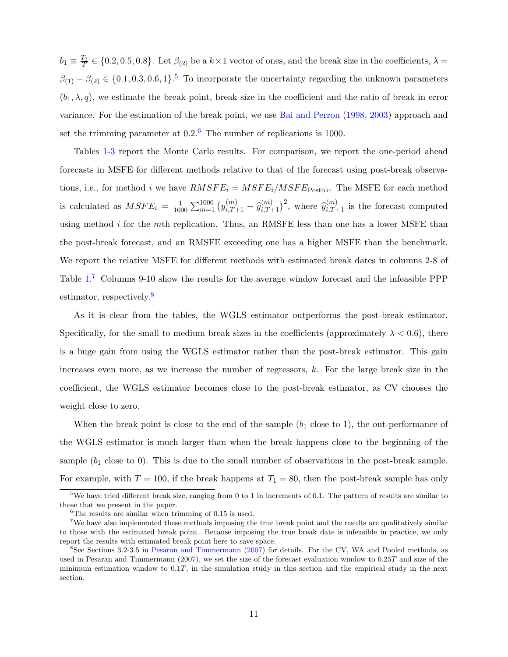$b_1 \equiv \frac{T_1}{T} \in \{0.2, 0.5, 0.8\}$ . Let  $\beta_{(2)}$  be a  $k \times 1$  vector of ones, and the break size in the coefficients,  $\lambda =$  $\beta_{(1)} - \beta_{(2)} \in \{0.1, 0.3, 0.6, 1\}$ <sup>[5](#page-11-0)</sup> To incorporate the uncertainty regarding the unknown parameters  $(b_1, \lambda, q)$ , we estimate the break point, break size in the coefficient and the ratio of break in error variance. For the estimation of the break point, we use [Bai and Perron](#page-15-6) [\(1998, 2003\)](#page-15-6) approach and set the trimming parameter at  $0.2<sup>6</sup>$  $0.2<sup>6</sup>$  $0.2<sup>6</sup>$ . The number of replications is 1000.

Tables [1-](#page-26-0)[3](#page-28-0) report the Monte Carlo results. For comparison, we report the one-period ahead forecasts in MSFE for different methods relative to that of the forecast using post-break observations, i.e., for method i we have  $RMSFE_i = MSFE_i/MSFE_{Postbk}$ . The MSFE for each method is calculated as  $MSFE_i = \frac{1}{100}$  $\frac{1}{1000} \sum_{m=1}^{1000} (y_{i,T+1}^{(m)} - \hat{y}_{i,T+1}^{(m)})^2$ , where  $\hat{y}_{i,T+1}^{(m)}$  is the forecast computed using method  $i$  for the mth replication. Thus, an RMSFE less than one has a lower MSFE than the post-break forecast, and an RMSFE exceeding one has a higher MSFE than the benchmark. We report the relative MSFE for different methods with estimated break dates in columns 2-8 of Table  $1^7$  $1^7$  Columns 9-10 show the results for the average window forecast and the infeasible PPP estimator, respectively.<sup>[8](#page-11-3)</sup>

As it is clear from the tables, the WGLS estimator outperforms the post-break estimator. Specifically, for the small to medium break sizes in the coefficients (approximately  $\lambda < 0.6$ ), there is a huge gain from using the WGLS estimator rather than the post-break estimator. This gain increases even more, as we increase the number of regressors,  $k$ . For the large break size in the coefficient, the WGLS estimator becomes close to the post-break estimator, as CV chooses the weight close to zero.

When the break point is close to the end of the sample  $(b_1)$  close to 1), the out-performance of the WGLS estimator is much larger than when the break happens close to the beginning of the sample  $(b_1 \text{ close to } 0)$ . This is due to the small number of observations in the post-break sample. For example, with  $T = 100$ , if the break happens at  $T_1 = 80$ , then the post-break sample has only

<span id="page-11-0"></span><sup>&</sup>lt;sup>5</sup>We have tried different break size, ranging from 0 to 1 in increments of 0.1. The pattern of results are similar to those that we present in the paper.

<span id="page-11-2"></span><span id="page-11-1"></span> ${}^{6}$ The results are similar when trimming of 0.15 is used.

<sup>&</sup>lt;sup>7</sup>We have also implemented these methods imposing the true break point and the results are qualitatively similar to those with the estimated break point. Because imposing the true break date is infeasible in practice, we only report the results with estimated break point here to save space.

<span id="page-11-3"></span><sup>8</sup>See Sections 3.2-3.5 in [Pesaran and Timmermann](#page-16-2) [\(2007\)](#page-16-2) for details. For the CV, WA and Pooled methods, as used in Pesaran and Timmermann (2007), we set the size of the forecast evaluation window to 0.25T and size of the minimum estimation window to  $0.1T$ , in the simulation study in this section and the empirical study in the next section.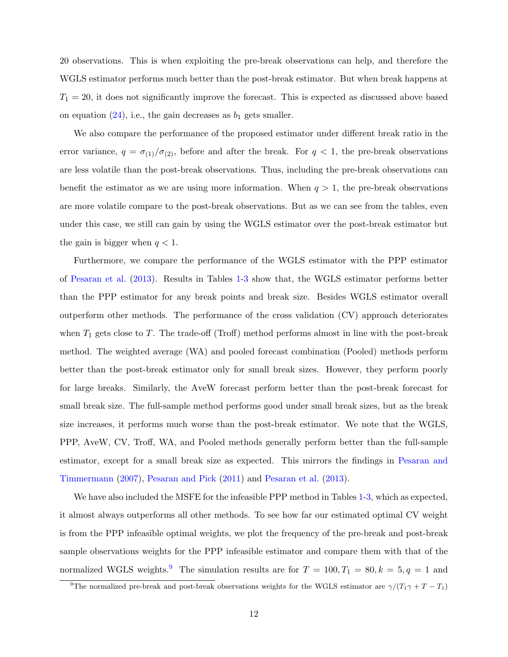20 observations. This is when exploiting the pre-break observations can help, and therefore the WGLS estimator performs much better than the post-break estimator. But when break happens at  $T_1 = 20$ , it does not significantly improve the forecast. This is expected as discussed above based on equation  $(24)$ , i.e., the gain decreases as  $b_1$  gets smaller.

We also compare the performance of the proposed estimator under different break ratio in the error variance,  $q = \sigma_{(1)}/\sigma_{(2)}$ , before and after the break. For  $q < 1$ , the pre-break observations are less volatile than the post-break observations. Thus, including the pre-break observations can benefit the estimator as we are using more information. When  $q > 1$ , the pre-break observations are more volatile compare to the post-break observations. But as we can see from the tables, even under this case, we still can gain by using the WGLS estimator over the post-break estimator but the gain is bigger when  $q < 1$ .

Furthermore, we compare the performance of the WGLS estimator with the PPP estimator of [Pesaran et al.](#page-16-0) [\(2013\)](#page-16-0). Results in Tables [1-](#page-26-0)[3](#page-28-0) show that, the WGLS estimator performs better than the PPP estimator for any break points and break size. Besides WGLS estimator overall outperform other methods. The performance of the cross validation (CV) approach deteriorates when  $T_1$  gets close to T. The trade-off (Troff) method performs almost in line with the post-break method. The weighted average (WA) and pooled forecast combination (Pooled) methods perform better than the post-break estimator only for small break sizes. However, they perform poorly for large breaks. Similarly, the AveW forecast perform better than the post-break forecast for small break size. The full-sample method performs good under small break sizes, but as the break size increases, it performs much worse than the post-break estimator. We note that the WGLS, PPP, AveW, CV, Troff, WA, and Pooled methods generally perform better than the full-sample estimator, except for a small break size as expected. This mirrors the findings in [Pesaran and](#page-16-2) [Timmermann](#page-16-2) [\(2007\)](#page-16-2), [Pesaran and Pick](#page-16-3) [\(2011\)](#page-16-3) and [Pesaran et al.](#page-16-0) [\(2013\)](#page-16-0).

We have also included the MSFE for the infeasible PPP method in Tables [1-](#page-26-0)[3,](#page-28-0) which as expected, it almost always outperforms all other methods. To see how far our estimated optimal CV weight is from the PPP infeasible optimal weights, we plot the frequency of the pre-break and post-break sample observations weights for the PPP infeasible estimator and compare them with that of the normalized WGLS weights.<sup>[9](#page-12-0)</sup> The simulation results are for  $T = 100, T_1 = 80, k = 5, q = 1$  and

<span id="page-12-0"></span><sup>&</sup>lt;sup>9</sup>The normalized pre-break and post-break observations weights for the WGLS estimator are  $\gamma/(T_1\gamma + T - T_1)$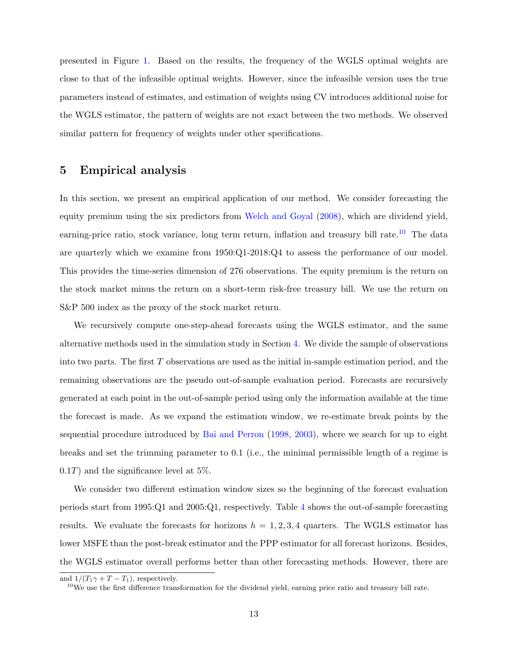presented in Figure [1.](#page-25-0) Based on the results, the frequency of the WGLS optimal weights are close to that of the infeasible optimal weights. However, since the infeasible version uses the true parameters instead of estimates, and estimation of weights using CV introduces additional noise for the WGLS estimator, the pattern of weights are not exact between the two methods. We observed similar pattern for frequency of weights under other specifications.

## <span id="page-13-0"></span>5 Empirical analysis

In this section, we present an empirical application of our method. We consider forecasting the equity premium using the six predictors from [Welch and Goyal](#page-16-11) [\(2008\)](#page-16-11), which are dividend yield, earning-price ratio, stock variance, long term return, inflation and treasury bill rate.<sup>[10](#page-13-1)</sup> The data are quarterly which we examine from 1950:Q1-2018:Q4 to assess the performance of our model. This provides the time-series dimension of 276 observations. The equity premium is the return on the stock market minus the return on a short-term risk-free treasury bill. We use the return on S&P 500 index as the proxy of the stock market return.

We recursively compute one-step-ahead forecasts using the WGLS estimator, and the same alternative methods used in the simulation study in Section [4.](#page-10-0) We divide the sample of observations into two parts. The first T observations are used as the initial in-sample estimation period, and the remaining observations are the pseudo out-of-sample evaluation period. Forecasts are recursively generated at each point in the out-of-sample period using only the information available at the time the forecast is made. As we expand the estimation window, we re-estimate break points by the sequential procedure introduced by [Bai and Perron](#page-15-6) [\(1998, 2003\)](#page-15-6), where we search for up to eight breaks and set the trimming parameter to 0.1 (i.e., the minimal permissible length of a regime is  $(0.1T)$  and the significance level at 5%.

We consider two different estimation window sizes so the beginning of the forecast evaluation periods start from 1995:Q1 and 2005:Q1, respectively. Table [4](#page-29-0) shows the out-of-sample forecasting results. We evaluate the forecasts for horizons  $h = 1, 2, 3, 4$  quarters. The WGLS estimator has lower MSFE than the post-break estimator and the PPP estimator for all forecast horizons. Besides, the WGLS estimator overall performs better than other forecasting methods. However, there are

and  $1/(T_1\gamma + T - T_1)$ , respectively.

<span id="page-13-1"></span> $10$ We use the first difference transformation for the dividend yield, earning price ratio and treasury bill rate.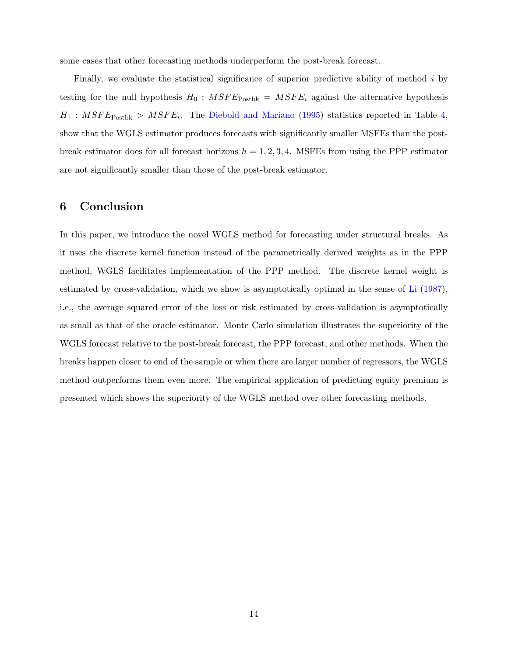some cases that other forecasting methods underperform the post-break forecast.

Finally, we evaluate the statistical significance of superior predictive ability of method  $i$  by testing for the null hypothesis  $H_0$ :  $MSFE_{\text{Postbk}} = MSFE_i$  against the alternative hypothesis  $H_1: MSFE_{\text{Postbk}} > MSFE_i$ . The [Diebold and Mariano](#page-15-10) [\(1995\)](#page-15-10) statistics reported in Table [4,](#page-29-0) show that the WGLS estimator produces forecasts with significantly smaller MSFEs than the postbreak estimator does for all forecast horizons  $h = 1, 2, 3, 4$ . MSFEs from using the PPP estimator are not significantly smaller than those of the post-break estimator.

# <span id="page-14-0"></span>6 Conclusion

In this paper, we introduce the novel WGLS method for forecasting under structural breaks. As it uses the discrete kernel function instead of the parametrically derived weights as in the PPP method, WGLS facilitates implementation of the PPP method. The discrete kernel weight is estimated by cross-validation, which we show is asymptotically optimal in the sense of [Li](#page-16-1) [\(1987\)](#page-16-1), i.e., the average squared error of the loss or risk estimated by cross-validation is asymptotically as small as that of the oracle estimator. Monte Carlo simulation illustrates the superiority of the WGLS forecast relative to the post-break forecast, the PPP forecast, and other methods. When the breaks happen closer to end of the sample or when there are larger number of regressors, the WGLS method outperforms them even more. The empirical application of predicting equity premium is presented which shows the superiority of the WGLS method over other forecasting methods.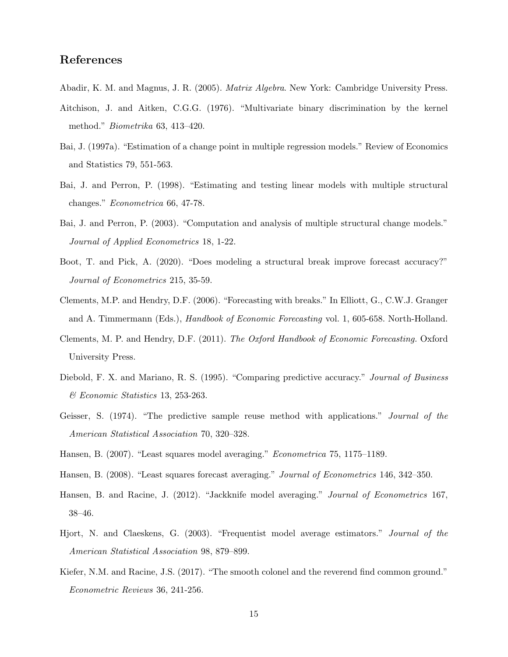## References

- <span id="page-15-12"></span><span id="page-15-4"></span>Abadir, K. M. and Magnus, J. R. (2005). Matrix Algebra. New York: Cambridge University Press.
- Aitchison, J. and Aitken, C.G.G. (1976). "Multivariate binary discrimination by the kernel method." Biometrika 63, 413–420.
- <span id="page-15-7"></span>Bai, J. (1997a). "Estimation of a change point in multiple regression models." Review of Economics and Statistics 79, 551-563.
- Bai, J. and Perron, P. (1998). "Estimating and testing linear models with multiple structural changes." Econometrica 66, 47-78.
- <span id="page-15-6"></span>Bai, J. and Perron, P. (2003). "Computation and analysis of multiple structural change models." Journal of Applied Econometrics 18, 1-22.
- <span id="page-15-9"></span>Boot, T. and Pick, A. (2020). "Does modeling a structural break improve forecast accuracy?" Journal of Econometrics 215, 35-59.
- <span id="page-15-3"></span>Clements, M.P. and Hendry, D.F. (2006). "Forecasting with breaks." In Elliott, G., C.W.J. Granger and A. Timmermann (Eds.), Handbook of Economic Forecasting vol. 1, 605-658. North-Holland.
- Clements, M. P. and Hendry, D.F. (2011). The Oxford Handbook of Economic Forecasting. Oxford University Press.
- <span id="page-15-10"></span>Diebold, F. X. and Mariano, R. S. (1995). "Comparing predictive accuracy." Journal of Business & Economic Statistics 13, 253-263.
- <span id="page-15-5"></span>Geisser, S. (1974). "The predictive sample reuse method with applications." Journal of the American Statistical Association 70, 320–328.
- <span id="page-15-11"></span><span id="page-15-1"></span>Hansen, B. (2007). "Least squares model averaging." Econometrica 75, 1175–1189.
- <span id="page-15-2"></span>Hansen, B. (2008). "Least squares forecast averaging." Journal of Econometrics 146, 342–350.
- Hansen, B. and Racine, J. (2012). "Jackknife model averaging." Journal of Econometrics 167, 38–46.
- <span id="page-15-0"></span>Hjort, N. and Claeskens, G. (2003). "Frequentist model average estimators." Journal of the American Statistical Association 98, 879–899.
- <span id="page-15-8"></span>Kiefer, N.M. and Racine, J.S. (2017). "The smooth colonel and the reverend find common ground." Econometric Reviews 36, 241-256.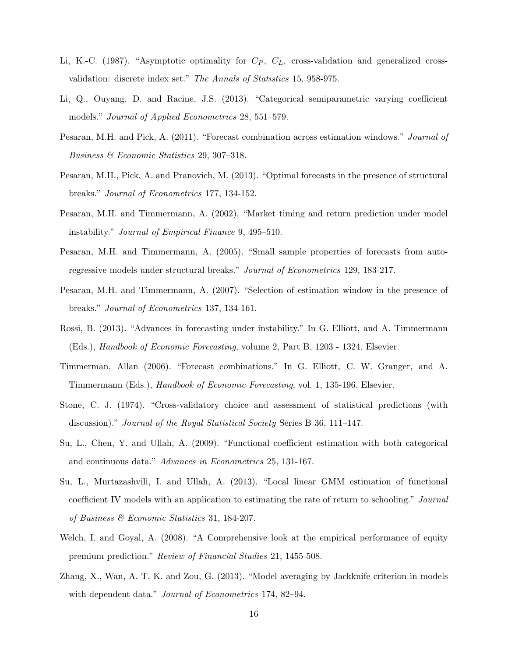- <span id="page-16-1"></span>Li, K.-C. (1987). "Asymptotic optimality for  $C_P$ ,  $C_L$ , cross-validation and generalized crossvalidation: discrete index set." The Annals of Statistics 15, 958-975.
- <span id="page-16-7"></span>Li, Q., Ouyang, D. and Racine, J.S. (2013). "Categorical semiparametric varying coefficient models." Journal of Applied Econometrics 28, 551–579.
- <span id="page-16-3"></span>Pesaran, M.H. and Pick, A. (2011). "Forecast combination across estimation windows." Journal of Business & Economic Statistics 29, 307–318.
- <span id="page-16-0"></span>Pesaran, M.H., Pick, A. and Pranovich, M. (2013). "Optimal forecasts in the presence of structural breaks." Journal of Econometrics 177, 134-152.
- <span id="page-16-5"></span>Pesaran, M.H. and Timmermann, A. (2002). "Market timing and return prediction under model instability." Journal of Empirical Finance 9, 495–510.
- Pesaran, M.H. and Timmermann, A. (2005). "Small sample properties of forecasts from autoregressive models under structural breaks." Journal of Econometrics 129, 183-217.
- <span id="page-16-2"></span>Pesaran, M.H. and Timmermann, A. (2007). "Selection of estimation window in the presence of breaks." Journal of Econometrics 137, 134-161.
- <span id="page-16-4"></span>Rossi, B. (2013). "Advances in forecasting under instability." In G. Elliott, and A. Timmermann (Eds.), Handbook of Economic Forecasting, volume 2, Part B, 1203 - 1324. Elsevier.
- <span id="page-16-6"></span>Timmerman, Allan (2006). "Forecast combinations." In G. Elliott, C. W. Granger, and A. Timmermann (Eds.), Handbook of Economic Forecasting, vol. 1, 135-196. Elsevier.
- <span id="page-16-8"></span>Stone, C. J. (1974). "Cross-validatory choice and assessment of statistical predictions (with discussion)." Journal of the Royal Statistical Society Series B 36, 111–147.
- <span id="page-16-9"></span>Su, L., Chen, Y. and Ullah, A. (2009). "Functional coefficient estimation with both categorical and continuous data." Advances in Econometrics 25, 131-167.
- <span id="page-16-10"></span>Su, L., Murtazashvili, I. and Ullah, A. (2013). "Local linear GMM estimation of functional coefficient IV models with an application to estimating the rate of return to schooling." Journal of Business & Economic Statistics 31, 184-207.
- <span id="page-16-11"></span>Welch, I. and Goyal, A. (2008). "A Comprehensive look at the empirical performance of equity premium prediction." Review of Financial Studies 21, 1455-508.
- <span id="page-16-12"></span>Zhang, X., Wan, A. T. K. and Zou, G. (2013). "Model averaging by Jackknife criterion in models with dependent data." Journal of Econometrics 174, 82–94.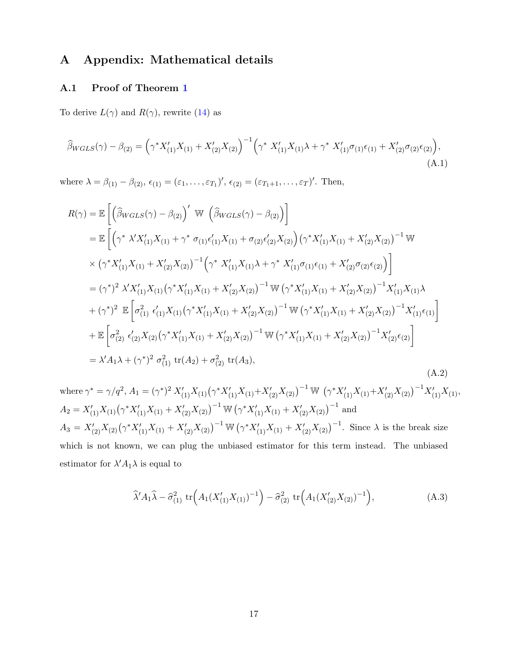# A Appendix: Mathematical details

### A.1 Proof of Theorem [1](#page-8-0)

To derive  $L(\gamma)$  and  $R(\gamma)$ , rewrite [\(14\)](#page-7-3) as

$$
\widehat{\beta}_{WGLS}(\gamma) - \beta_{(2)} = \left(\gamma^* X'_{(1)} X_{(1)} + X'_{(2)} X_{(2)}\right)^{-1} \left(\gamma^* X'_{(1)} X_{(1)} \lambda + \gamma^* X'_{(1)} \sigma_{(1)} \epsilon_{(1)} + X'_{(2)} \sigma_{(2)} \epsilon_{(2)}\right),\tag{A.1}
$$

where  $\lambda = \beta_{(1)} - \beta_{(2)}$ ,  $\epsilon_{(1)} = (\epsilon_1, \ldots, \epsilon_{T_1})'$ ,  $\epsilon_{(2)} = (\epsilon_{T_1+1}, \ldots, \epsilon_T)'$ . Then,

<span id="page-17-1"></span>
$$
R(\gamma) = \mathbb{E}\left[\left(\hat{\beta}_{WGLS}(\gamma) - \beta_{(2)}\right)' \mathbb{W}\left(\hat{\beta}_{WGLS}(\gamma) - \beta_{(2)}\right)\right]
$$
  
\n
$$
= \mathbb{E}\left[\left(\gamma^* \lambda' X'_{(1)} X_{(1)} + \gamma^* \sigma_{(1)} \epsilon'_{(1)} X_{(1)} + \sigma_{(2)} \epsilon'_{(2)} X_{(2)}\right) \left(\gamma^* X'_{(1)} X_{(1)} + X'_{(2)} X_{(2)}\right)^{-1} \mathbb{W}\right]
$$
  
\n
$$
\times \left(\gamma^* X'_{(1)} X_{(1)} + X'_{(2)} X_{(2)}\right)^{-1} \left(\gamma^* X'_{(1)} X_{(1)} \lambda + \gamma^* X'_{(1)} \sigma_{(1)} \epsilon_{(1)} + X'_{(2)} \sigma_{(2)} \epsilon_{(2)}\right)\right]
$$
  
\n
$$
= (\gamma^*)^2 \lambda' X'_{(1)} X_{(1)} \left(\gamma^* X'_{(1)} X_{(1)} + X'_{(2)} X_{(2)}\right)^{-1} \mathbb{W}\left(\gamma^* X'_{(1)} X_{(1)} + X'_{(2)} X_{(2)}\right)^{-1} X'_{(1)} X_{(1)} \lambda
$$
  
\n
$$
+ (\gamma^*)^2 \mathbb{E}\left[\sigma_{(1)}^2 \epsilon'_{(1)} X_{(1)} \left(\gamma^* X'_{(1)} X_{(1)} + X'_{(2)} X_{(2)}\right)^{-1} \mathbb{W}\left(\gamma^* X'_{(1)} X_{(1)} + X'_{(2)} X_{(2)}\right)^{-1} X'_{(1)} \epsilon_{(1)}\right]
$$
  
\n
$$
+ \mathbb{E}\left[\sigma_{(2)}^2 \epsilon'_{(2)} X_{(2)} \left(\gamma^* X'_{(1)} X_{(1)} + X'_{(2)} X_{(2)}\right)^{-1} \mathbb{W}\left(\gamma^* X'_{(1)} X_{(1)} + X'_{(2)} X_{(2)}\right)^{-1} X'_{(2)} \epsilon_{(2)}\right]
$$
  
\n
$$
= \lambda' A_1 \lambda + (\gamma^*)^2 \sigma_{(1)}^2 \operatorname{tr}(A_2) + \sigma_{(2)}^2 \operatorname{tr}(A_3),
$$
<

where  $\gamma^* = \gamma/q^2$ ,  $A_1 = (\gamma^*)^2 X_{(1)}'X_{(1)}(\gamma^* X_{(1)}'X_{(1)} + X_{(2)}'X_{(2)})^{-1}$  W  $(\gamma^* X_{(1)}'X_{(1)} + X_{(2)}'X_{(2)})^{-1}X_{(1)}'X_{(1)}$ ,  $A_2 = X'_{(1)}X_{(1)}(\gamma^*X'_{(1)}X_{(1)} + X'_{(2)}X_{(2)})^{-1}$  W  $(\gamma^*X'_{(1)}X_{(1)} + X'_{(2)}X_{(2)})^{-1}$  and  $A_3 = X'_{(2)}X_{(2)}(\gamma^*X'_{(1)}X_{(1)} + X'_{(2)}X_{(2)})^{-1} \mathbb{W} (\gamma^*X'_{(1)}X_{(1)} + X'_{(2)}X_{(2)})^{-1}$ . Since  $\lambda$  is the break size which is not known, we can plug the unbiased estimator for this term instead. The unbiased estimator for  $\lambda' A_1 \lambda$  is equal to

<span id="page-17-0"></span>
$$
\widehat{\lambda}' A_1 \widehat{\lambda} - \widehat{\sigma}_{(1)}^2 \, \text{tr}\Big( A_1 (X'_{(1)} X_{(1)})^{-1} \Big) - \widehat{\sigma}_{(2)}^2 \, \text{tr}\Big( A_1 (X'_{(2)} X_{(2)})^{-1} \Big), \tag{A.3}
$$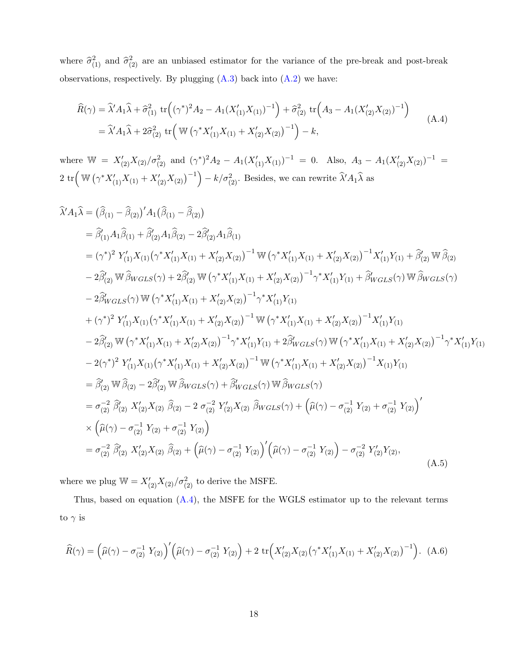where  $\hat{\sigma}_{(1)}^2$  and  $\hat{\sigma}_{(2)}^2$  are an unbiased estimator for the variance of the pre-break and post-break observations, respectively. By plugging  $(A.3)$  back into  $(A.2)$  we have:

<span id="page-18-0"></span>
$$
\widehat{R}(\gamma) = \widehat{\lambda}' A_1 \widehat{\lambda} + \widehat{\sigma}_{(1)}^2 \text{ tr} \left( (\gamma^*)^2 A_2 - A_1 (X_{(1)}' X_{(1)})^{-1} \right) + \widehat{\sigma}_{(2)}^2 \text{ tr} \left( A_3 - A_1 (X_{(2)}' X_{(2)})^{-1} \right)
$$
\n
$$
= \widehat{\lambda}' A_1 \widehat{\lambda} + 2 \widehat{\sigma}_{(2)}^2 \text{ tr} \left( \mathbb{W} \left( \gamma^* X_{(1)}' X_{(1)} + X_{(2)}' X_{(2)} \right)^{-1} \right) - k,
$$
\n(A.4)

where  $\mathbb{W} = X'_{(2)}X_{(2)}/\sigma_{(2)}^2$  and  $(\gamma^*)^2A_2 - A_1(X'_{(1)}X_{(1)})^{-1} = 0$ . Also,  $A_3 - A_1(X'_{(2)}X_{(2)})^{-1} =$  $2 \text{ tr} \left( \mathbb{W} \left( \gamma^* X_{(1)}'X_{(1)} + X_{(2)}'X_{(2)} \right)^{-1} \right) - k/\sigma_{(2)}^2$ . Besides, we can rewrite  $\hat{\lambda}' A_1 \hat{\lambda}$  as

$$
\hat{X}'A_1\hat{\lambda} = (\hat{\beta}_{(1)} - \hat{\beta}_{(2)})'A_1(\hat{\beta}_{(1)} - \hat{\beta}_{(2)})
$$
\n
$$
= \hat{\beta}'_{(1)}A_1\hat{\beta}_{(1)} + \hat{\beta}'_{(2)}A_1\hat{\beta}_{(2)} - 2\hat{\beta}'_{(2)}A_1\hat{\beta}_{(1)}
$$
\n
$$
= (\gamma^*)^2 Y'_{(1)}X_{(1)}(\gamma^*X'_{(1)}X_{(1)} + X'_{(2)}X_{(2)})^{-1} \mathbb{W} (\gamma^*X'_{(1)}X_{(1)} + X'_{(2)}X_{(2)})^{-1}X'_{(1)}Y_{(1)} + \hat{\beta}'_{(2)} \mathbb{W} \hat{\beta}_{(2)}
$$
\n
$$
- 2\hat{\beta}'_{(2)} \mathbb{W} \hat{\beta}_{WGLS}(\gamma) + 2\hat{\beta}'_{(2)} \mathbb{W} (\gamma^*X'_{(1)}X_{(1)} + X'_{(2)}X_{(2)})^{-1} \gamma^*X'_{(1)}Y_{(1)} + \hat{\beta}_{WGLS}(\gamma) \mathbb{W} \hat{\beta}_{WGLS}(\gamma)
$$
\n
$$
- 2\hat{\beta}'_{WGLS}(\gamma) \mathbb{W} (\gamma^*X'_{(1)}X_{(1)} + X'_{(2)}X_{(2)})^{-1} \gamma^*X'_{(1)}Y_{(1)}
$$
\n
$$
+ (\gamma^*)^2 Y'_{(1)}X_{(1)}(\gamma^*X'_{(1)}X_{(1)} + X'_{(2)}X_{(2)})^{-1} \mathbb{W} (\gamma^*X'_{(1)}X_{(1)} + X'_{(2)}X_{(2)})^{-1}X'_{(1)}Y_{(1)}
$$
\n
$$
- 2\hat{\beta}'_{(2)} \mathbb{W} (\gamma^*X'_{(1)}X_{(1)} + X'_{(2)}X_{(2)})^{-1} \gamma^*X'_{(1)}Y_{(1)} + 2\hat{\beta}_{WGLS}(\gamma) \mathbb{W} (\gamma^*X'_{(1)}X_{(1)} + X'_{(2)}X_{(2)})^{-1} \gamma^*X'_{(1)}Y_{(1)}
$$
\n
$$
- 2(\gamma^*)^2 Y'_{(1)}X_{(1)}(\gamma^*X'_{(1)}X_{(1)} + X'_{(2)}X_{(
$$

where we plug  $\mathbb{W} = X'_{(2)}X_{(2)}/\sigma_{(2)}^2$  to derive the MSFE.

Thus, based on equation [\(A.4\)](#page-18-0), the MSFE for the WGLS estimator up to the relevant terms to  $\gamma$  is

<span id="page-18-1"></span>
$$
\widehat{R}(\gamma) = \left(\widehat{\mu}(\gamma) - \sigma_{(2)}^{-1} Y_{(2)}\right)' \left(\widehat{\mu}(\gamma) - \sigma_{(2)}^{-1} Y_{(2)}\right) + 2 \operatorname{tr}\left(X'_{(2)} X_{(2)} \left(\gamma^* X'_{(1)} X_{(1)} + X'_{(2)} X_{(2)}\right)^{-1}\right). \tag{A.6}
$$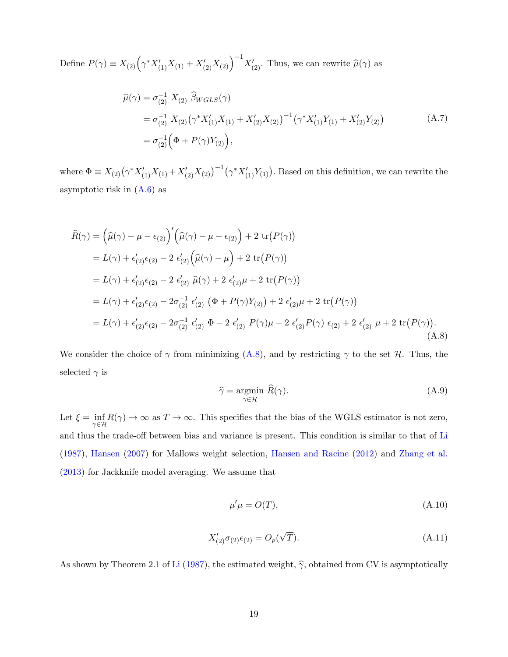Define  $P(\gamma) \equiv X_{(2)} (\gamma^* X'_{(1)} X_{(1)} + X'_{(2)} X_{(2)})^{-1} X'_{(2)}$ . Thus, we can rewrite  $\hat{\mu}(\gamma)$  as

$$
\hat{\mu}(\gamma) = \sigma_{(2)}^{-1} X_{(2)} \hat{\beta}_{WGLS}(\gamma)
$$
\n
$$
= \sigma_{(2)}^{-1} X_{(2)} (\gamma^* X'_{(1)} X_{(1)} + X'_{(2)} X_{(2)})^{-1} (\gamma^* X'_{(1)} Y_{(1)} + X'_{(2)} Y_{(2)})
$$
\n
$$
= \sigma_{(2)}^{-1} (\Phi + P(\gamma) Y_{(2)}),
$$
\n(A.7)

where  $\Phi \equiv X_{(2)} (\gamma^* X'_{(1)} X_{(1)} + X'_{(2)} X_{(2)})^{-1} (\gamma^* X'_{(1)} Y_{(1)})$ . Based on this definition, we can rewrite the asymptotic risk in [\(A.6\)](#page-18-1) as

<span id="page-19-0"></span>
$$
\hat{R}(\gamma) = (\hat{\mu}(\gamma) - \mu - \epsilon_{(2)})' (\hat{\mu}(\gamma) - \mu - \epsilon_{(2)}) + 2 \operatorname{tr}(P(\gamma)) \n= L(\gamma) + \epsilon'_{(2)}\epsilon_{(2)} - 2 \epsilon'_{(2)} (\hat{\mu}(\gamma) - \mu) + 2 \operatorname{tr}(P(\gamma)) \n= L(\gamma) + \epsilon'_{(2)}\epsilon_{(2)} - 2 \epsilon'_{(2)} \hat{\mu}(\gamma) + 2 \epsilon'_{(2)}\mu + 2 \operatorname{tr}(P(\gamma)) \n= L(\gamma) + \epsilon'_{(2)}\epsilon_{(2)} - 2\sigma_{(2)}^{-1} \epsilon'_{(2)} (\Phi + P(\gamma)Y_{(2)}) + 2 \epsilon'_{(2)}\mu + 2 \operatorname{tr}(P(\gamma)) \n= L(\gamma) + \epsilon'_{(2)}\epsilon_{(2)} - 2\sigma_{(2)}^{-1} \epsilon'_{(2)} \Phi - 2 \epsilon'_{(2)} P(\gamma)\mu - 2 \epsilon'_{(2)} P(\gamma) \epsilon_{(2)} + 2 \epsilon'_{(2)} \mu + 2 \operatorname{tr}(P(\gamma)).
$$
\n(A.8)

We consider the choice of  $\gamma$  from minimizing [\(A.8\)](#page-19-0), and by restricting  $\gamma$  to the set H. Thus, the selected  $\gamma$  is

$$
\widehat{\gamma} = \underset{\gamma \in \mathcal{H}}{\text{argmin}} \ \widehat{R}(\gamma). \tag{A.9}
$$

Let  $\xi = \inf_{\gamma \in \mathcal{H}} R(\gamma) \to \infty$  as  $T \to \infty$ . This specifies that the bias of the WGLS estimator is not zero, and thus the trade-off between bias and variance is present. This condition is similar to that of [Li](#page-16-1) [\(1987\)](#page-16-1), [Hansen](#page-15-11) [\(2007\)](#page-15-11) for Mallows weight selection, [Hansen and Racine](#page-15-2) [\(2012\)](#page-15-2) and [Zhang et al.](#page-16-12) [\(2013\)](#page-16-12) for Jackknife model averaging. We assume that

<span id="page-19-1"></span>
$$
\mu'\mu = O(T),\tag{A.10}
$$

<span id="page-19-2"></span>
$$
X'_{(2)}\sigma_{(2)}\epsilon_{(2)} = O_p(\sqrt{T}).
$$
\n(A.11)

As shown by Theorem 2.1 of [Li](#page-16-1) [\(1987\)](#page-16-1), the estimated weight,  $\hat{\gamma}$ , obtained from CV is asymptotically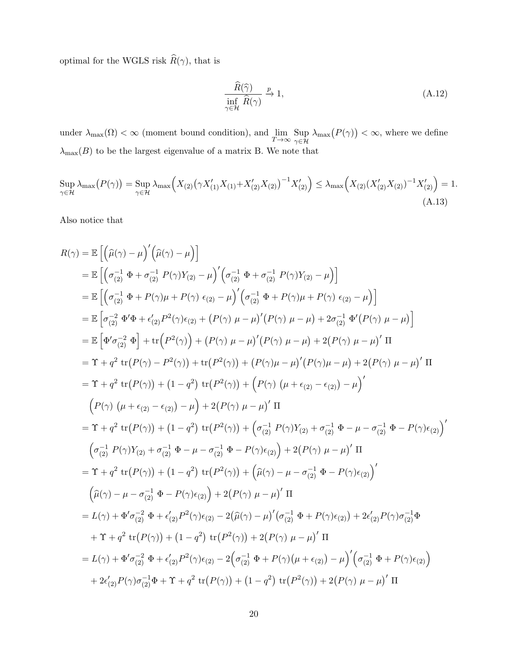optimal for the WGLS risk  $\widehat{R}(\gamma),$  that is

<span id="page-20-0"></span>
$$
\frac{\widehat{R}(\widehat{\gamma})}{\inf_{\gamma \in \mathcal{H}} \widehat{R}(\gamma)} \xrightarrow{p} 1,
$$
\n(A.12)

under  $\lambda_{\max}(\Omega) < \infty$  (moment bound condition), and  $\lim_{T \to \infty} \sup_{\gamma \in \mathcal{H}}$  $\text{Sup }\lambda_{\max}(P(\gamma)) < \infty$ , where we define  $\lambda_{\max}(B)$  to be the largest eigenvalue of a matrix B. We note that

$$
\sup_{\gamma \in \mathcal{H}} \lambda_{\max} (P(\gamma)) = \sup_{\gamma \in \mathcal{H}} \lambda_{\max} \Big( X_{(2)} \big( \gamma X_{(1)}' X_{(1)} + X_{(2)}' X_{(2)} \big)^{-1} X_{(2)}' \Big) \le \lambda_{\max} \Big( X_{(2)} (X_{(2)}' X_{(2)})^{-1} X_{(2)}' \Big) = 1.
$$
\n(A.13)

Also notice that

$$
R(\gamma) = \mathbb{E} \left[ (\hat{\mu}(\gamma) - \mu)' (\hat{\mu}(\gamma) - \mu) \right]
$$
  
\n
$$
= \mathbb{E} \left[ (\sigma_{(2)}^{-1} \Phi + \sigma_{(2)}^{-1} P(\gamma) Y_{(2)} - \mu)' (\sigma_{(2)}^{-1} \Phi + \sigma_{(2)}^{-1} P(\gamma) Y_{(2)} - \mu) \right]
$$
  
\n
$$
= \mathbb{E} \left[ (\sigma_{(2)}^{-1} \Phi + P(\gamma) \mu + P(\gamma) \epsilon_{(2)} - \mu)' (\sigma_{(2)}^{-1} \Phi + P(\gamma) \mu + P(\gamma) \epsilon_{(2)} - \mu) \right]
$$
  
\n
$$
= \mathbb{E} \left[ \sigma_{(2)}^{-2} \Phi' \Phi + \epsilon'_{(2)} P^2(\gamma) \epsilon_{(2)} + (P(\gamma) \mu - \mu)' (P(\gamma) \mu - \mu) + 2 \sigma_{(2)}^{-1} \Phi' (P(\gamma) \mu - \mu) \right]
$$
  
\n
$$
= \mathbb{E} \left[ \Phi' \sigma_{(2)}^{-2} \Phi \right] + \text{tr} (P^2(\gamma)) + (P(\gamma) \mu - \mu)' (P(\gamma) \mu - \mu) + 2 (P(\gamma) \mu - \mu)' \Pi
$$
  
\n
$$
= \Upsilon + q^2 \text{tr} (P(\gamma) - P^2(\gamma)) + \text{tr} (P^2(\gamma)) + (P(\gamma) \mu - \mu)' (P(\gamma) \mu - \mu) + 2 (P(\gamma) \mu - \mu)' \Pi
$$
  
\n
$$
= \Upsilon + q^2 \text{tr} (P(\gamma)) + (1 - q^2) \text{tr} (P^2(\gamma)) + (P(\gamma) (\mu + \epsilon_{(2)} - \epsilon_{(2)}) - \mu)'
$$
  
\n
$$
(P(\gamma) (\mu + \epsilon_{(2)} - \epsilon_{(2)}) - \mu) + 2 (P(\gamma) \mu - \mu)' \Pi
$$
  
\n
$$
= \Upsilon + q^2 \text{tr} (P(\gamma)) + (1 - q^2) \text{tr} (P^2(\gamma)) + (\sigma_{(2)}^{-1} P(\gamma) Y_{(2)} + \sigma_{(2)}^{-1} \Phi - \mu - \sigma_{(2)}^{-1} \Phi - P(\gamma) \epsilon_{(2)})'
$$
  
\n
$$
(\sigma_{
$$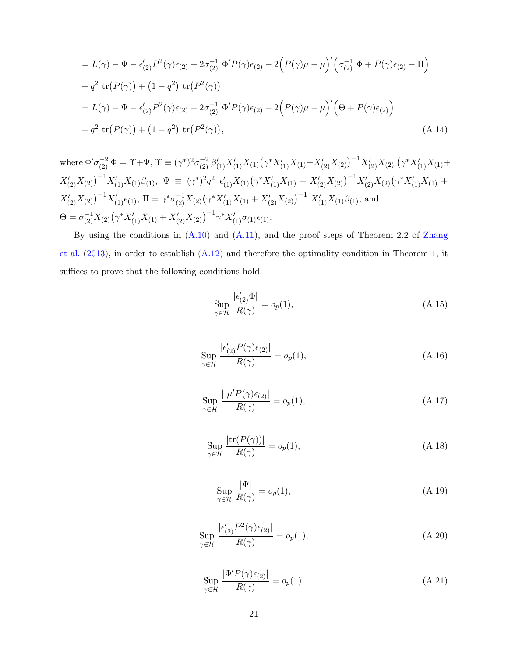$$
= L(\gamma) - \Psi - \epsilon'_{(2)} P^2(\gamma) \epsilon_{(2)} - 2\sigma_{(2)}^{-1} \Phi' P(\gamma) \epsilon_{(2)} - 2(P(\gamma)\mu - \mu)' \Big( \sigma_{(2)}^{-1} \Phi + P(\gamma) \epsilon_{(2)} - \Pi \Big) + q^2 \text{ tr}(P(\gamma)) + (1 - q^2) \text{ tr}(P^2(\gamma)) = L(\gamma) - \Psi - \epsilon'_{(2)} P^2(\gamma) \epsilon_{(2)} - 2\sigma_{(2)}^{-1} \Phi' P(\gamma) \epsilon_{(2)} - 2(P(\gamma)\mu - \mu)' \Big( \Theta + P(\gamma) \epsilon_{(2)} \Big) + q^2 \text{ tr}(P(\gamma)) + (1 - q^2) \text{ tr}(P^2(\gamma)),
$$
 (A.14)

where  $\Phi' \sigma_{(2)}^{-2} \Phi = \Upsilon + \Psi$ ,  $\Upsilon \equiv (\gamma^*)^2 \sigma_{(2)}^{-2} \beta'_{(1)} X'_{(1)} X_{(1)} (\gamma^* X'_{(1)} X_{(1)} + X'_{(2)} X_{(2)})^{-1} X'_{(2)} X_{(2)} (\gamma^* X'_{(1)} X_{(1)} +$  $X'_{(2)}X_{(2)}\big)^{-1}X'_{(1)}X_{(1)}\beta_{(1)}, \ \ \Psi \ \equiv \ (\gamma^*)^2q^2\ \ \epsilon'_{(1)}X_{(1)}\big(\gamma^*X'_{(1)}X_{(1)} \ + \ X'_{(2)}X_{(2)}\big)^{-1}X'_{(2)}X_{(2)}\big(\gamma^*X'_{(1)}X_{(1)} \ +$  $X'_{(2)}X_{(2)}$  $\big)^{-1}X'_{(1)}\epsilon_{(1)}$ ,  $\Pi = \gamma^*\sigma_{(2)}^{-1}X_{(2)}(\gamma^*X'_{(1)}X_{(1)} + X'_{(2)}X_{(2)})^{-1}X'_{(1)}X_{(1)}\beta_{(1)}$ , and  $\Theta = \sigma_{(2)}^{-1} X_{(2)} (\gamma^* X'_{(1)} X_{(1)} + X'_{(2)} X_{(2)})^{-1} \gamma^* X'_{(1)} \sigma_{(1)} \epsilon_{(1)}.$ 

By using the conditions in [\(A.10\)](#page-19-1) and [\(A.11\)](#page-19-2), and the proof steps of Theorem 2.2 of [Zhang](#page-16-12) [et al.](#page-16-12) [\(2013\)](#page-16-12), in order to establish [\(A.12\)](#page-20-0) and therefore the optimality condition in Theorem [1,](#page-8-0) it suffices to prove that the following conditions hold.

<span id="page-21-0"></span>
$$
\sup_{\gamma \in \mathcal{H}} \frac{|\epsilon'_{(2)}\Phi|}{R(\gamma)} = o_p(1),\tag{A.15}
$$

<span id="page-21-1"></span>
$$
\sup_{\gamma \in \mathcal{H}} \frac{|\epsilon'_{(2)} P(\gamma) \epsilon_{(2)}|}{R(\gamma)} = o_p(1),\tag{A.16}
$$

<span id="page-21-2"></span>
$$
\sup_{\gamma \in \mathcal{H}} \frac{|\ \mu' P(\gamma) \epsilon_{(2)}|}{R(\gamma)} = o_p(1),\tag{A.17}
$$

<span id="page-21-3"></span>
$$
\sup_{\gamma \in \mathcal{H}} \frac{|\text{tr}(P(\gamma))|}{R(\gamma)} = o_p(1),\tag{A.18}
$$

<span id="page-21-4"></span>
$$
\sup_{\gamma \in \mathcal{H}} \frac{|\Psi|}{R(\gamma)} = o_p(1),\tag{A.19}
$$

<span id="page-21-5"></span>
$$
\sup_{\gamma \in \mathcal{H}} \frac{|\epsilon'_{(2)} P^2(\gamma)\epsilon_{(2)}|}{R(\gamma)} = o_p(1),\tag{A.20}
$$

<span id="page-21-6"></span>
$$
\sup_{\gamma \in \mathcal{H}} \frac{|\Phi' P(\gamma)\epsilon_{(2)}|}{R(\gamma)} = o_p(1),\tag{A.21}
$$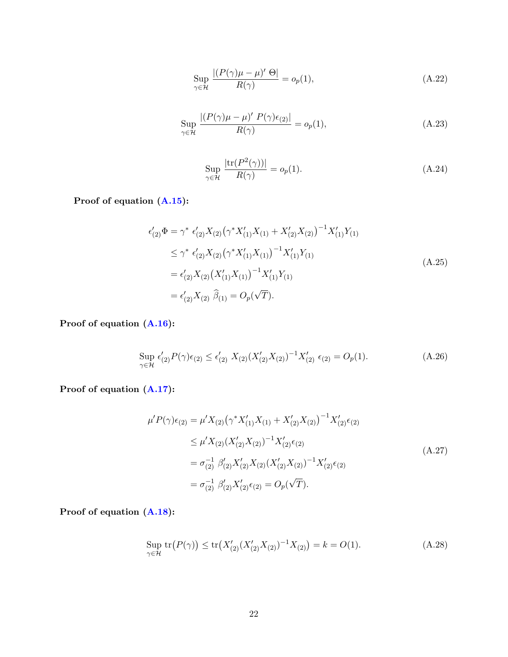<span id="page-22-0"></span>
$$
\sup_{\gamma \in \mathcal{H}} \frac{| (P(\gamma)\mu - \mu)' \Theta |}{R(\gamma)} = o_p(1),\tag{A.22}
$$

<span id="page-22-1"></span>
$$
\sup_{\gamma \in \mathcal{H}} \frac{| (P(\gamma)\mu - \mu)' \ P(\gamma) \epsilon_{(2)} |}{R(\gamma)} = o_p(1),\tag{A.23}
$$

<span id="page-22-2"></span>
$$
\sup_{\gamma \in \mathcal{H}} \frac{|\text{tr}(P^2(\gamma))|}{R(\gamma)} = o_p(1). \tag{A.24}
$$

Proof of equation [\(A.15\)](#page-21-0):

$$
\epsilon'_{(2)}\Phi = \gamma^* \epsilon'_{(2)}X_{(2)}(\gamma^*X'_{(1)}X_{(1)} + X'_{(2)}X_{(2)})^{-1}X'_{(1)}Y_{(1)}
$$
\n
$$
\leq \gamma^* \epsilon'_{(2)}X_{(2)}(\gamma^*X'_{(1)}X_{(1)})^{-1}X'_{(1)}Y_{(1)}
$$
\n
$$
= \epsilon'_{(2)}X_{(2)}(X'_{(1)}X_{(1)})^{-1}X'_{(1)}Y_{(1)}
$$
\n
$$
= \epsilon'_{(2)}X_{(2)}\widehat{\beta}_{(1)} = O_p(\sqrt{T}).
$$
\n(A.25)

Proof of equation [\(A.16\)](#page-21-1):

$$
\sup_{\gamma \in \mathcal{H}} \epsilon'_{(2)} P(\gamma) \epsilon_{(2)} \le \epsilon'_{(2)} X_{(2)} (X'_{(2)} X_{(2)})^{-1} X'_{(2)} \epsilon_{(2)} = O_p(1). \tag{A.26}
$$

Proof of equation [\(A.17\)](#page-21-2):

$$
\mu' P(\gamma) \epsilon_{(2)} = \mu' X_{(2)} (\gamma^* X'_{(1)} X_{(1)} + X'_{(2)} X_{(2)})^{-1} X'_{(2)} \epsilon_{(2)}
$$
  
\n
$$
\leq \mu' X_{(2)} (X'_{(2)} X_{(2)})^{-1} X'_{(2)} \epsilon_{(2)}
$$
  
\n
$$
= \sigma_{(2)}^{-1} \beta'_{(2)} X'_{(2)} X_{(2)} (X'_{(2)} X_{(2)})^{-1} X'_{(2)} \epsilon_{(2)}
$$
  
\n
$$
= \sigma_{(2)}^{-1} \beta'_{(2)} X'_{(2)} \epsilon_{(2)} = O_p(\sqrt{T}).
$$
\n(A.27)

Proof of equation [\(A.18\)](#page-21-3):

$$
\sup_{\gamma \in \mathcal{H}} \text{tr}(P(\gamma)) \le \text{tr}(X'_{(2)}(X'_{(2)}X_{(2)})^{-1}X_{(2)}) = k = O(1). \tag{A.28}
$$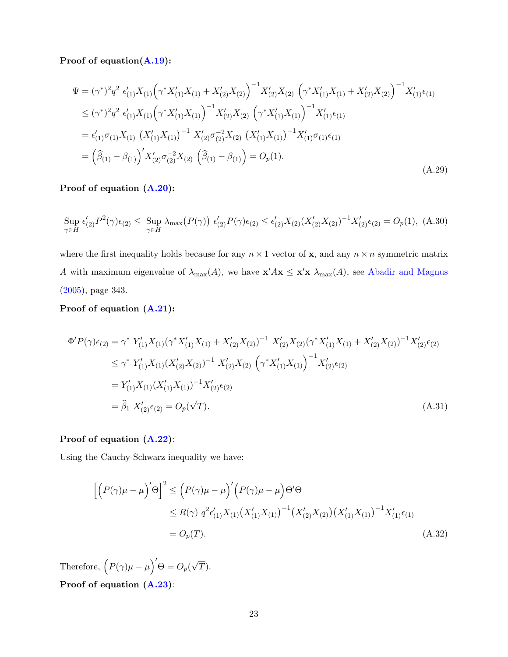Proof of equation[\(A.19\)](#page-21-4):

$$
\Psi = (\gamma^*)^2 q^2 \epsilon'_{(1)} X_{(1)} \left( \gamma^* X'_{(1)} X_{(1)} + X'_{(2)} X_{(2)} \right)^{-1} X'_{(2)} X_{(2)} \left( \gamma^* X'_{(1)} X_{(1)} + X'_{(2)} X_{(2)} \right)^{-1} X'_{(1)} \epsilon_{(1)}
$$
\n
$$
\leq (\gamma^*)^2 q^2 \epsilon'_{(1)} X_{(1)} \left( \gamma^* X'_{(1)} X_{(1)} \right)^{-1} X'_{(2)} X_{(2)} \left( \gamma^* X'_{(1)} X_{(1)} \right)^{-1} X'_{(1)} \epsilon_{(1)}
$$
\n
$$
= \epsilon'_{(1)} \sigma_{(1)} X_{(1)} \left( X'_{(1)} X_{(1)} \right)^{-1} X'_{(2)} \sigma_{(2)}^{-2} X_{(2)} \left( X'_{(1)} X_{(1)} \right)^{-1} X'_{(1)} \sigma_{(1)} \epsilon_{(1)}
$$
\n
$$
= (\widehat{\beta}_{(1)} - \beta_{(1)})' X'_{(2)} \sigma_{(2)}^{-2} X_{(2)} \left( \widehat{\beta}_{(1)} - \beta_{(1)} \right) = O_p(1).
$$
\n(A.29)

### Proof of equation [\(A.20\)](#page-21-5):

$$
\sup_{\gamma \in H} \epsilon'_{(2)} P^2(\gamma) \epsilon_{(2)} \le \sup_{\gamma \in H} \lambda_{\max} (P(\gamma)) \epsilon'_{(2)} P(\gamma) \epsilon_{(2)} \le \epsilon'_{(2)} X_{(2)} (X'_{(2)} X_{(2)})^{-1} X'_{(2)} \epsilon_{(2)} = O_p(1),
$$
 (A.30)

where the first inequality holds because for any  $n \times 1$  vector of **x**, and any  $n \times n$  symmetric matrix A with maximum eigenvalue of  $\lambda_{\max}(A)$ , we have  $\mathbf{x}' A \mathbf{x} \leq \mathbf{x}' \mathbf{x} \lambda_{\max}(A)$ , see [Abadir and Magnus](#page-15-12) [\(2005\)](#page-15-12), page 343.

#### Proof of equation [\(A.21\)](#page-21-6):

$$
\Phi'P(\gamma)\epsilon_{(2)} = \gamma^* Y'_{(1)}X_{(1)}(\gamma^*X'_{(1)}X_{(1)} + X'_{(2)}X_{(2)})^{-1} X'_{(2)}X_{(2)}(\gamma^*X'_{(1)}X_{(1)} + X'_{(2)}X_{(2)})^{-1} X'_{(2)}\epsilon_{(2)}
$$
\n
$$
\leq \gamma^* Y'_{(1)}X_{(1)}(X'_{(2)}X_{(2)})^{-1} X'_{(2)}X_{(2)} (\gamma^*X'_{(1)}X_{(1)})^{-1} X'_{(2)}\epsilon_{(2)}
$$
\n
$$
= Y'_{(1)}X_{(1)}(X'_{(1)}X_{(1)})^{-1} X'_{(2)}\epsilon_{(2)}
$$
\n
$$
= \widehat{\beta}_1 X'_{(2)}\epsilon_{(2)} = O_p(\sqrt{T}). \tag{A.31}
$$

## Proof of equation [\(A.22\)](#page-22-0):

Using the Cauchy-Schwarz inequality we have:

$$
\left[ \left( P(\gamma) \mu - \mu \right)' \Theta \right]^2 \le \left( P(\gamma) \mu - \mu \right)' \left( P(\gamma) \mu - \mu \right) \Theta' \Theta
$$
  
 
$$
\le R(\gamma) q^2 \epsilon'_{(1)} X_{(1)} (X'_{(1)} X_{(1)})^{-1} (X'_{(2)} X_{(2)}) (X'_{(1)} X_{(1)})^{-1} X'_{(1)} \epsilon_{(1)}
$$
  
=  $O_p(T).$  (A.32)

Therefore,  $(P(\gamma)\mu - \mu)' \Theta = O_p($ √  $T).$ Proof of equation [\(A.23\)](#page-22-1):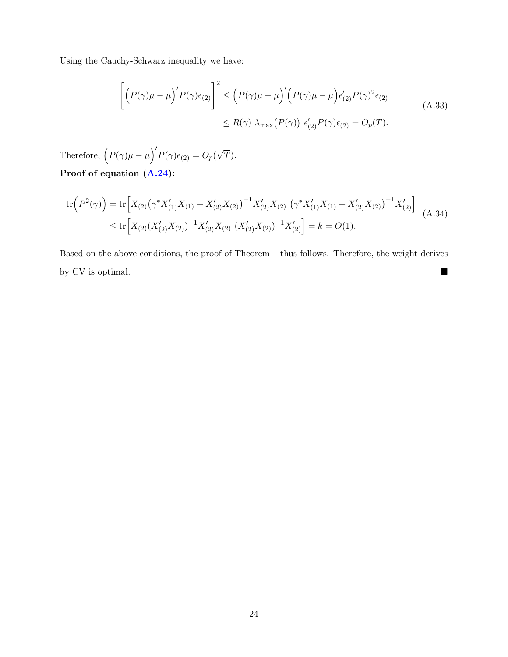Using the Cauchy-Schwarz inequality we have:

$$
\left[ \left( P(\gamma)\mu - \mu \right)' P(\gamma) \epsilon_{(2)} \right]^2 \le \left( P(\gamma)\mu - \mu \right)' \left( P(\gamma)\mu - \mu \right) \epsilon'_{(2)} P(\gamma)^2 \epsilon_{(2)}
$$
\n
$$
\le R(\gamma) \lambda_{\max} (P(\gamma)) \epsilon'_{(2)} P(\gamma) \epsilon_{(2)} = O_p(T). \tag{A.33}
$$

Therefore,  $(P(\gamma)\mu - \mu)'P(\gamma)\epsilon_{(2)} = O_p(\gamma)$ √  $T).$ Proof of equation [\(A.24\)](#page-22-2):

$$
\operatorname{tr}\left(P^2(\gamma)\right) = \operatorname{tr}\left[X_{(2)}\left(\gamma^*X'_{(1)}X_{(1)} + X'_{(2)}X_{(2)}\right)^{-1}X'_{(2)}X_{(2)}\left(\gamma^*X'_{(1)}X_{(1)} + X'_{(2)}X_{(2)}\right)^{-1}X'_{(2)}\right] \tag{A.34}
$$
\n
$$
\leq \operatorname{tr}\left[X_{(2)}(X'_{(2)}X_{(2)})^{-1}X'_{(2)}X_{(2)}\left(X'_{(2)}X_{(2)}\right)^{-1}X'_{(2)}\right] = k = O(1).
$$

Based on the above conditions, the proof of Theorem [1](#page-8-0) thus follows. Therefore, the weight derives by CV is optimal.  $\hfill\blacksquare$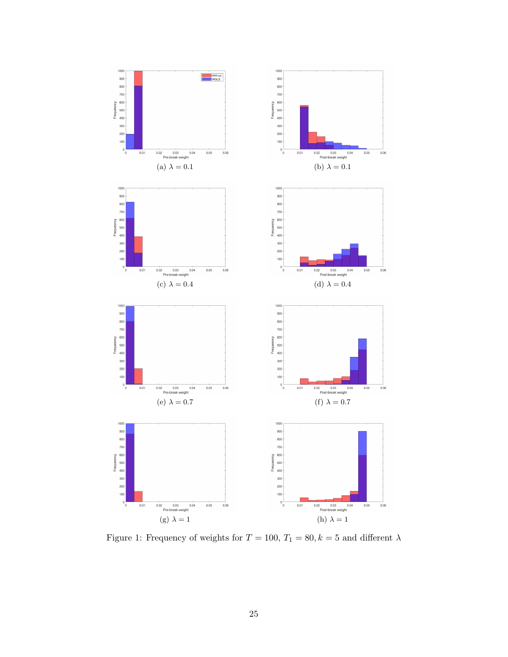<span id="page-25-0"></span>

Figure 1: Frequency of weights for  $T=100,\, T_1=80, k=5$  and different  $\lambda$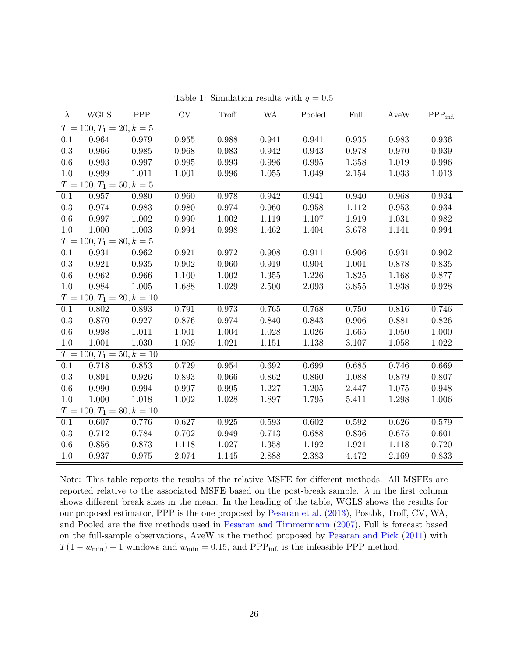<span id="page-26-0"></span>

| $\lambda$                   | <b>WGLS</b>                 | PPP       | CV        | <b>Troff</b> | <b>WA</b>   | Pooled    | Full      | AveW  | $\mathrm{PPP_{inf.}}$ |  |  |
|-----------------------------|-----------------------------|-----------|-----------|--------------|-------------|-----------|-----------|-------|-----------------------|--|--|
| $T = 100, T_1 = 20, k = 5$  |                             |           |           |              |             |           |           |       |                       |  |  |
| $\overline{0.1}$            | 0.964                       | 0.979     | 0.955     | 0.988        | 0.941       | 0.941     | 0.935     | 0.983 | 0.936                 |  |  |
| $0.3\,$                     | 0.966                       | 0.985     | 0.968     | 0.983        | $\,0.942\,$ | 0.943     | 0.978     | 0.970 | 0.939                 |  |  |
| 0.6                         | 0.993                       | 0.997     | 0.995     | 0.993        | 0.996       | 0.995     | 1.358     | 1.019 | 0.996                 |  |  |
| $1.0\,$                     | 0.999                       | 1.011     | 1.001     | 0.996        | 1.055       | 1.049     | 2.154     | 1.033 | 1.013                 |  |  |
| $T = 100, T_1 = 50, k = 5$  |                             |           |           |              |             |           |           |       |                       |  |  |
| $\overline{0.1}$            | 0.957                       | 0.980     | 0.960     | 0.978        | 0.942       | 0.941     | 0.940     | 0.968 | 0.934                 |  |  |
| 0.3                         | 0.974                       | 0.983     | 0.980     | 0.974        | 0.960       | 0.958     | 1.112     | 0.953 | 0.934                 |  |  |
| 0.6                         | 0.997                       | 1.002     | 0.990     | 1.002        | 1.119       | 1.107     | 1.919     | 1.031 | 0.982                 |  |  |
| 1.0                         | 1.000                       | 1.003     | 0.994     | 0.998        | 1.462       | 1.404     | 3.678     | 1.141 | 0.994                 |  |  |
| $T = 100, T_1 = 80, k = 5$  |                             |           |           |              |             |           |           |       |                       |  |  |
| $\overline{0.1}$            | 0.931                       | 0.962     | 0.921     | 0.972        | 0.908       | 0.911     | 0.906     | 0.931 | 0.902                 |  |  |
| $\rm 0.3$                   | 0.921                       | 0.935     | 0.902     | 0.960        | 0.919       | 0.904     | 1.001     | 0.878 | 0.835                 |  |  |
| 0.6                         | 0.962                       | 0.966     | 1.100     | $1.002\,$    | 1.355       | 1.226     | 1.825     | 1.168 | 0.877                 |  |  |
| 1.0                         | 0.984                       | $1.005\,$ | 1.688     | 1.029        | 2.500       | 2.093     | $3.855\,$ | 1.938 | 0.928                 |  |  |
| $T = 100, T_1 = 20, k = 10$ |                             |           |           |              |             |           |           |       |                       |  |  |
| $\overline{0.1}$            | 0.802                       | 0.893     | 0.791     | 0.973        | 0.765       | 0.768     | 0.750     | 0.816 | 0.746                 |  |  |
| $\rm 0.3$                   | 0.870                       | 0.927     | 0.876     | 0.974        | 0.840       | 0.843     | 0.906     | 0.881 | 0.826                 |  |  |
| 0.6                         | 0.998                       | 1.011     | 1.001     | 1.004        | 1.028       | 1.026     | 1.665     | 1.050 | 1.000                 |  |  |
| 1.0                         | 1.001                       | 1.030     | 1.009     | 1.021        | 1.151       | $1.138\,$ | 3.107     | 1.058 | 1.022                 |  |  |
|                             | $T = 100, T_1 = 50, k = 10$ |           |           |              |             |           |           |       |                       |  |  |
| $\overline{0.1}$            | 0.718                       | 0.853     | 0.729     | 0.954        | 0.692       | 0.699     | 0.685     | 0.746 | 0.669                 |  |  |
| $\rm 0.3$                   | 0.891                       | 0.926     | 0.893     | 0.966        | 0.862       | 0.860     | 1.088     | 0.879 | 0.807                 |  |  |
| 0.6                         | 0.990                       | 0.994     | 0.997     | 0.995        | 1.227       | 1.205     | 2.447     | 1.075 | 0.948                 |  |  |
| 1.0                         | 1.000                       | 1.018     | $1.002\,$ | 1.028        | 1.897       | 1.795     | 5.411     | 1.298 | 1.006                 |  |  |
| $T = 100, T_1 = 80, k = 10$ |                             |           |           |              |             |           |           |       |                       |  |  |
| $\overline{0.1}$            | 0.607                       | 0.776     | 0.627     | 0.925        | 0.593       | 0.602     | 0.592     | 0.626 | 0.579                 |  |  |
| $\rm 0.3$                   | 0.712                       | 0.784     | 0.702     | 0.949        | 0.713       | 0.688     | 0.836     | 0.675 | 0.601                 |  |  |
| 0.6                         | 0.856                       | 0.873     | 1.118     | 1.027        | 1.358       | 1.192     | 1.921     | 1.118 | 0.720                 |  |  |
| 1.0                         | 0.937                       | 0.975     | 2.074     | 1.145        | 2.888       | 2.383     | 4.472     | 2.169 | 0.833                 |  |  |

Table 1: Simulation results with  $q = 0.5$ 

Note: This table reports the results of the relative MSFE for different methods. All MSFEs are reported relative to the associated MSFE based on the post-break sample.  $\lambda$  in the first column shows different break sizes in the mean. In the heading of the table, WGLS shows the results for our proposed estimator, PPP is the one proposed by [Pesaran et al.](#page-16-0) [\(2013\)](#page-16-0), Postbk, Troff, CV, WA, and Pooled are the five methods used in [Pesaran and Timmermann](#page-16-2) [\(2007\)](#page-16-2), Full is forecast based on the full-sample observations, AveW is the method proposed by [Pesaran and Pick](#page-16-3) [\(2011\)](#page-16-3) with  $T(1 - w_{\text{min}}) + 1$  windows and  $w_{\text{min}} = 0.15$ , and PPP<sub>inf.</sub> is the infeasible PPP method.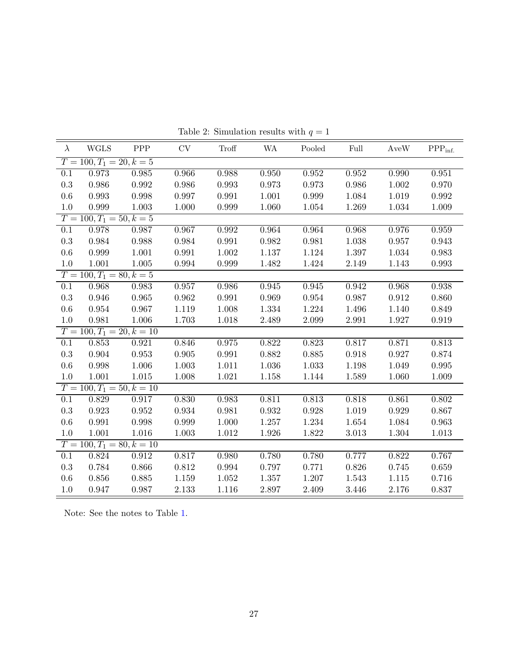| $\lambda$                   | <b>WGLS</b>                 | ${\rm PPP}$ | $\mathrm{CV}$ | <b>Troff</b> | <b>WA</b> | Pooled | Full      | AveW  | $PPPinf.$   |  |
|-----------------------------|-----------------------------|-------------|---------------|--------------|-----------|--------|-----------|-------|-------------|--|
| $T = 100, T_1 = 20, k = 5$  |                             |             |               |              |           |        |           |       |             |  |
| $\overline{0.1}$            | 0.973                       | 0.985       | 0.966         | 0.988        | 0.950     | 0.952  | 0.952     | 0.990 | 0.951       |  |
| $0.3\,$                     | 0.986                       | 0.992       | 0.986         | 0.993        | 0.973     | 0.973  | 0.986     | 1.002 | 0.970       |  |
| 0.6                         | 0.993                       | 0.998       | 0.997         | 0.991        | 1.001     | 0.999  | 1.084     | 1.019 | $\,0.992\,$ |  |
| 1.0                         | 0.999                       | 1.003       | 1.000         | 0.999        | 1.060     | 1.054  | 1.269     | 1.034 | 1.009       |  |
| $T = 100, T_1 = 50, k = 5$  |                             |             |               |              |           |        |           |       |             |  |
| $\overline{0.1}$            | 0.978                       | 0.987       | 0.967         | 0.992        | 0.964     | 0.964  | 0.968     | 0.976 | 0.959       |  |
| $\rm 0.3$                   | 0.984                       | 0.988       | 0.984         | 0.991        | 0.982     | 0.981  | 1.038     | 0.957 | 0.943       |  |
| 0.6                         | 0.999                       | 1.001       | 0.991         | $1.002\,$    | 1.137     | 1.124  | 1.397     | 1.034 | 0.983       |  |
| $1.0\,$                     | 1.001                       | 1.005       | 0.994         | 0.999        | 1.482     | 1.424  | 2.149     | 1.143 | 0.993       |  |
| $T = 100, T_1 = 80, k = 5$  |                             |             |               |              |           |        |           |       |             |  |
| $\overline{0.1}$            | 0.968                       | 0.983       | 0.957         | 0.986        | 0.945     | 0.945  | 0.942     | 0.968 | 0.938       |  |
| $\rm 0.3$                   | 0.946                       | 0.965       | 0.962         | 0.991        | 0.969     | 0.954  | 0.987     | 0.912 | 0.860       |  |
| 0.6                         | $\,0.954\,$                 | 0.967       | 1.119         | 1.008        | 1.334     | 1.224  | 1.496     | 1.140 | 0.849       |  |
| 1.0                         | 0.981                       | $1.006\,$   | 1.703         | 1.018        | 2.489     | 2.099  | 2.991     | 1.927 | 0.919       |  |
|                             | $T = 100, T_1 = 20, k = 10$ |             |               |              |           |        |           |       |             |  |
| 0.1                         | 0.853                       | 0.921       | 0.846         | 0.975        | 0.822     | 0.823  | 0.817     | 0.871 | 0.813       |  |
| $0.3\,$                     | 0.904                       | 0.953       | $0.905\,$     | 0.991        | 0.882     | 0.885  | 0.918     | 0.927 | 0.874       |  |
| 0.6                         | 0.998                       | 1.006       | 1.003         | 1.011        | 1.036     | 1.033  | $1.198\,$ | 1.049 | 0.995       |  |
| 1.0                         | 1.001                       | $1.015\,$   | 1.008         | 1.021        | 1.158     | 1.144  | 1.589     | 1.060 | 1.009       |  |
|                             | $T = 100, T_1 = 50, k = 10$ |             |               |              |           |        |           |       |             |  |
| 0.1                         | 0.829                       | 0.917       | 0.830         | 0.983        | 0.811     | 0.813  | 0.818     | 0.861 | 0.802       |  |
| $0.3\,$                     | 0.923                       | 0.952       | 0.934         | 0.981        | 0.932     | 0.928  | $1.019\,$ | 0.929 | 0.867       |  |
| 0.6                         | 0.991                       | 0.998       | 0.999         | 1.000        | 1.257     | 1.234  | 1.654     | 1.084 | 0.963       |  |
| $1.0\,$                     | 1.001                       | 1.016       | 1.003         | 1.012        | 1.926     | 1.822  | 3.013     | 1.304 | 1.013       |  |
| $T = 100, T_1 = 80, k = 10$ |                             |             |               |              |           |        |           |       |             |  |
| $\overline{0.1}$            | 0.824                       | 0.912       | 0.817         | 0.980        | 0.780     | 0.780  | 0.777     | 0.822 | 0.767       |  |
| $\rm 0.3$                   | 0.784                       | 0.866       | 0.812         | 0.994        | 0.797     | 0.771  | 0.826     | 0.745 | 0.659       |  |
| 0.6                         | 0.856                       | 0.885       | 1.159         | 1.052        | 1.357     | 1.207  | 1.543     | 1.115 | 0.716       |  |
| 1.0                         | 0.947                       | 0.987       | 2.133         | 1.116        | 2.897     | 2.409  | 3.446     | 2.176 | 0.837       |  |

Table 2: Simulation results with  $q = 1$ 

Note: See the notes to Table [1.](#page-26-0)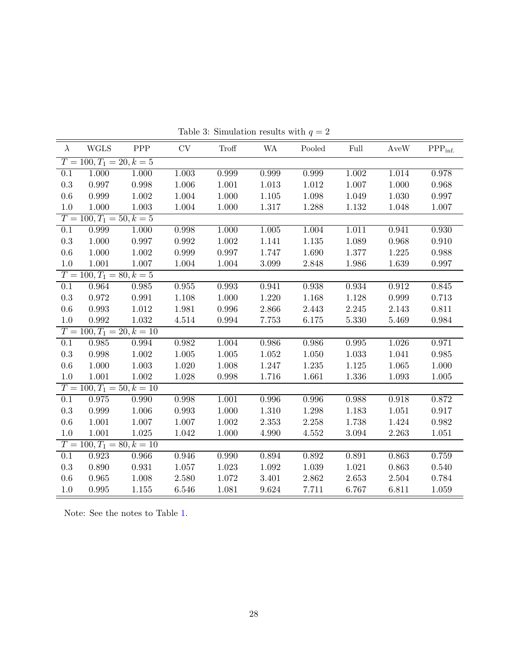<span id="page-28-0"></span>

| $\lambda$                   | <b>WGLS</b>                 | PPP       | CV        | Troff       | <b>WA</b> | Pooled    | Full      | AveW  | $\mathrm{PPP_{inf.}}$ |  |
|-----------------------------|-----------------------------|-----------|-----------|-------------|-----------|-----------|-----------|-------|-----------------------|--|
| $T = 100, T_1 = 20, k = 5$  |                             |           |           |             |           |           |           |       |                       |  |
| $\overline{0.1}$            | 1.000                       | 1.000     | 1.003     | 0.999       | 0.999     | 0.999     | 1.002     | 1.014 | 0.978                 |  |
| $\rm 0.3$                   | 0.997                       | 0.998     | 1.006     | 1.001       | 1.013     | $1.012\,$ | 1.007     | 1.000 | 0.968                 |  |
| 0.6                         | 0.999                       | 1.002     | 1.004     | 1.000       | 1.105     | 1.098     | 1.049     | 1.030 | 0.997                 |  |
| $1.0\,$                     | 1.000                       | 1.003     | 1.004     | 1.000       | 1.317     | 1.288     | 1.132     | 1.048 | 1.007                 |  |
| $T = 100, T_1 = 50, k = 5$  |                             |           |           |             |           |           |           |       |                       |  |
| $\overline{0.1}$            | 0.999                       | 1.000     | 0.998     | 1.000       | 1.005     | 1.004     | 1.011     | 0.941 | 0.930                 |  |
| $0.3\,$                     | 1.000                       | 0.997     | 0.992     | 1.002       | 1.141     | 1.135     | 1.089     | 0.968 | 0.910                 |  |
| 0.6                         | 1.000                       | 1.002     | 0.999     | 0.997       | 1.747     | 1.690     | 1.377     | 1.225 | 0.988                 |  |
| 1.0                         | 1.001                       | 1.007     | 1.004     | 1.004       | 3.099     | 2.848     | 1.986     | 1.639 | 0.997                 |  |
| $T = 100, T_1 = 80, k = 5$  |                             |           |           |             |           |           |           |       |                       |  |
| $\overline{0.1}$            | 0.964                       | 0.985     | 0.955     | 0.993       | 0.941     | 0.938     | 0.934     | 0.912 | 0.845                 |  |
| $\rm 0.3$                   | 0.972                       | 0.991     | 1.108     | 1.000       | 1.220     | 1.168     | 1.128     | 0.999 | $0.713\,$             |  |
| 0.6                         | 0.993                       | $1.012\,$ | 1.981     | 0.996       | 2.866     | 2.443     | 2.245     | 2.143 | 0.811                 |  |
| 1.0                         | 0.992                       | $1.032\,$ | 4.514     | $\,0.994\,$ | 7.753     | 6.175     | 5.330     | 5.469 | 0.984                 |  |
| $T = 100, T_1 = 20, k = 10$ |                             |           |           |             |           |           |           |       |                       |  |
| $\overline{0.1}$            | 0.985                       | 0.994     | 0.982     | 1.004       | 0.986     | 0.986     | 0.995     | 1.026 | 0.971                 |  |
| $\rm 0.3$                   | 0.998                       | 1.002     | $1.005\,$ | $1.005\,$   | 1.052     | 1.050     | 1.033     | 1.041 | 0.985                 |  |
| 0.6                         | 1.000                       | 1.003     | 1.020     | $1.008\,$   | 1.247     | 1.235     | $1.125\,$ | 1.065 | 1.000                 |  |
| 1.0                         | 1.001                       | 1.002     | 1.028     | 0.998       | 1.716     | 1.661     | 1.336     | 1.093 | 1.005                 |  |
|                             | $T = 100, T_1 = 50, k = 10$ |           |           |             |           |           |           |       |                       |  |
| 0.1                         | 0.975                       | 0.990     | 0.998     | 1.001       | 0.996     | 0.996     | 0.988     | 0.918 | 0.872                 |  |
| $\rm 0.3$                   | 0.999                       | 1.006     | 0.993     | $1.000\,$   | $1.310\,$ | $1.298\,$ | 1.183     | 1.051 | 0.917                 |  |
| 0.6                         | 1.001                       | 1.007     | 1.007     | 1.002       | 2.353     | 2.258     | 1.738     | 1.424 | 0.982                 |  |
| $1.0\,$                     | $1.001\,$                   | 1.025     | 1.042     | 1.000       | 4.990     | 4.552     | $3.094\,$ | 2.263 | 1.051                 |  |
| $T = 100, T_1 = 80, k = 10$ |                             |           |           |             |           |           |           |       |                       |  |
| $\overline{0.1}$            | 0.923                       | 0.966     | 0.946     | 0.990       | 0.894     | 0.892     | 0.891     | 0.863 | 0.759                 |  |
| $\rm 0.3$                   | 0.890                       | 0.931     | 1.057     | 1.023       | 1.092     | 1.039     | 1.021     | 0.863 | 0.540                 |  |
| 0.6                         | 0.965                       | 1.008     | 2.580     | 1.072       | 3.401     | 2.862     | 2.653     | 2.504 | 0.784                 |  |
| 1.0                         | 0.995                       | 1.155     | 6.546     | 1.081       | $9.624\,$ | 7.711     | 6.767     | 6.811 | 1.059                 |  |

Table 3: Simulation results with  $q = 2$ 

Note: See the notes to Table [1.](#page-26-0)